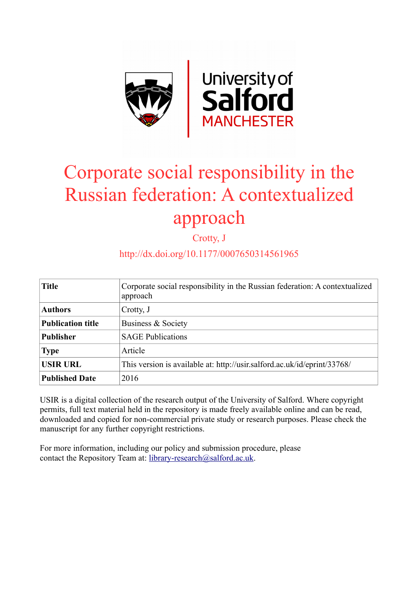

# Corporate social responsibility in the Russian federation: A contextualized approach

Crotty, J

## http://dx.doi.org/10.1177/0007650314561965

| <b>Title</b>             | Corporate social responsibility in the Russian federation: A contextualized<br>approach |  |  |
|--------------------------|-----------------------------------------------------------------------------------------|--|--|
| <b>Authors</b>           | Crotty, J                                                                               |  |  |
| <b>Publication title</b> | Business & Society                                                                      |  |  |
| <b>Publisher</b>         | <b>SAGE Publications</b>                                                                |  |  |
| <b>Type</b>              | Article                                                                                 |  |  |
| <b>USIR URL</b>          | This version is available at: http://usir.salford.ac.uk/id/eprint/33768/                |  |  |
| <b>Published Date</b>    | 2016                                                                                    |  |  |

USIR is a digital collection of the research output of the University of Salford. Where copyright permits, full text material held in the repository is made freely available online and can be read, downloaded and copied for non-commercial private study or research purposes. Please check the manuscript for any further copyright restrictions.

For more information, including our policy and submission procedure, please contact the Repository Team at: [library-research@salford.ac.uk.](mailto:library-research@salford.ac.uk)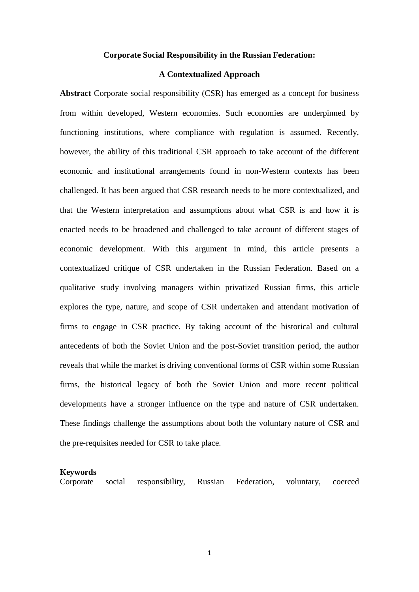#### **Corporate Social Responsibility in the Russian Federation:**

#### **A Contextualized Approach**

**Abstract** Corporate social responsibility (CSR) has emerged as a concept for business from within developed, Western economies. Such economies are underpinned by functioning institutions, where compliance with regulation is assumed. Recently, however, the ability of this traditional CSR approach to take account of the different economic and institutional arrangements found in non-Western contexts has been challenged. It has been argued that CSR research needs to be more contextualized, and that the Western interpretation and assumptions about what CSR is and how it is enacted needs to be broadened and challenged to take account of different stages of economic development. With this argument in mind, this article presents a contextualized critique of CSR undertaken in the Russian Federation. Based on a qualitative study involving managers within privatized Russian firms, this article explores the type, nature, and scope of CSR undertaken and attendant motivation of firms to engage in CSR practice. By taking account of the historical and cultural antecedents of both the Soviet Union and the post-Soviet transition period, the author reveals that while the market is driving conventional forms of CSR within some Russian firms, the historical legacy of both the Soviet Union and more recent political developments have a stronger influence on the type and nature of CSR undertaken. These findings challenge the assumptions about both the voluntary nature of CSR and the pre-requisites needed for CSR to take place.

#### **Keywords**

Corporate social responsibility, Russian Federation, voluntary, coerced

1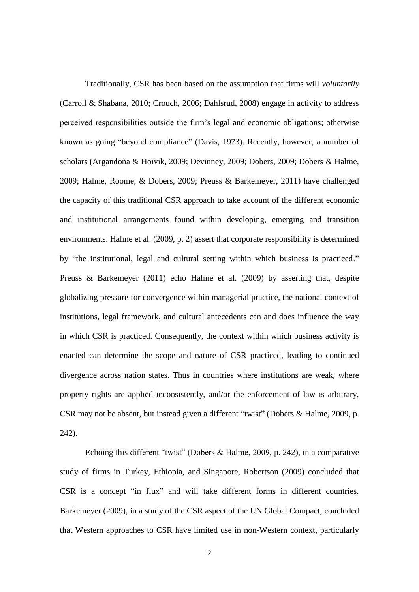Traditionally, CSR has been based on the assumption that firms will *voluntarily* (Carroll & Shabana, 2010; Crouch, 2006; Dahlsrud, 2008) engage in activity to address perceived responsibilities outside the firm's legal and economic obligations; otherwise known as going "beyond compliance" (Davis, 1973). Recently, however, a number of scholars (Argandoña & Hoivik, 2009; Devinney, 2009; Dobers, 2009; Dobers & Halme, 2009; Halme, Roome, & Dobers, 2009; Preuss & Barkemeyer, 2011) have challenged the capacity of this traditional CSR approach to take account of the different economic and institutional arrangements found within developing, emerging and transition environments. Halme et al. (2009, p. 2) assert that corporate responsibility is determined by "the institutional, legal and cultural setting within which business is practiced." Preuss & Barkemeyer (2011) echo Halme et al. (2009) by asserting that, despite globalizing pressure for convergence within managerial practice, the national context of institutions, legal framework, and cultural antecedents can and does influence the way in which CSR is practiced. Consequently, the context within which business activity is enacted can determine the scope and nature of CSR practiced, leading to continued divergence across nation states. Thus in countries where institutions are weak, where property rights are applied inconsistently, and/or the enforcement of law is arbitrary, CSR may not be absent, but instead given a different "twist" (Dobers & Halme, 2009, p. 242).

Echoing this different "twist" (Dobers & Halme, 2009, p. 242), in a comparative study of firms in Turkey, Ethiopia, and Singapore, Robertson (2009) concluded that CSR is a concept "in flux" and will take different forms in different countries. Barkemeyer (2009), in a study of the CSR aspect of the UN Global Compact, concluded that Western approaches to CSR have limited use in non-Western context, particularly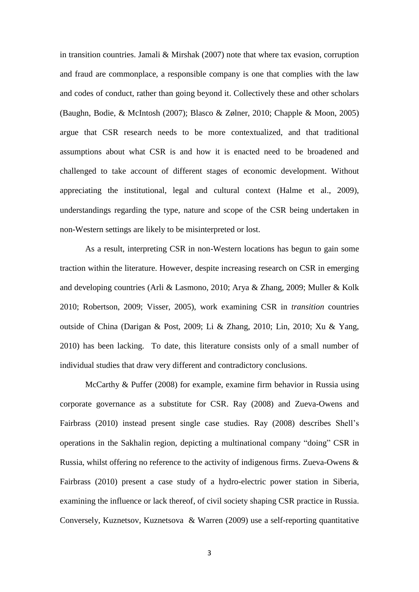in transition countries. Jamali & Mirshak (2007) note that where tax evasion, corruption and fraud are commonplace, a responsible company is one that complies with the law and codes of conduct, rather than going beyond it. Collectively these and other scholars (Baughn, Bodie, & McIntosh (2007); Blasco & Zølner, 2010; Chapple & Moon, 2005) argue that CSR research needs to be more contextualized, and that traditional assumptions about what CSR is and how it is enacted need to be broadened and challenged to take account of different stages of economic development. Without appreciating the institutional, legal and cultural context (Halme et al., 2009), understandings regarding the type, nature and scope of the CSR being undertaken in non-Western settings are likely to be misinterpreted or lost.

As a result, interpreting CSR in non-Western locations has begun to gain some traction within the literature. However, despite increasing research on CSR in emerging and developing countries (Arli & Lasmono, 2010; Arya & Zhang, 2009; Muller & Kolk 2010; Robertson, 2009; Visser, 2005), work examining CSR in *transition* countries outside of China (Darigan & Post, 2009; Li & Zhang, 2010; Lin, 2010; Xu & Yang, 2010) has been lacking. To date, this literature consists only of a small number of individual studies that draw very different and contradictory conclusions.

McCarthy & Puffer (2008) for example, examine firm behavior in Russia using corporate governance as a substitute for CSR. Ray (2008) and Zueva-Owens and Fairbrass (2010) instead present single case studies. Ray (2008) describes Shell's operations in the Sakhalin region, depicting a multinational company "doing" CSR in Russia, whilst offering no reference to the activity of indigenous firms. Zueva-Owens & Fairbrass (2010) present a case study of a hydro-electric power station in Siberia, examining the influence or lack thereof, of civil society shaping CSR practice in Russia. Conversely, Kuznetsov, Kuznetsova & Warren (2009) use a self-reporting quantitative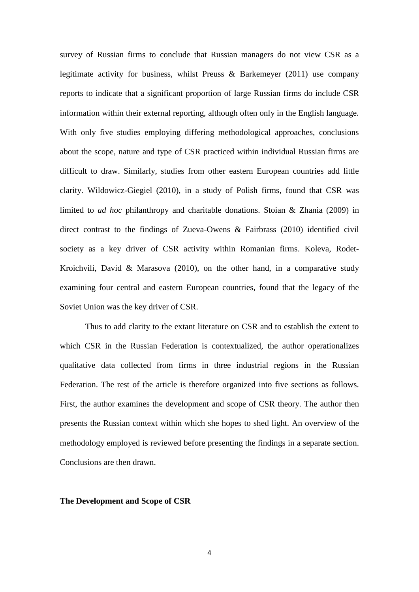survey of Russian firms to conclude that Russian managers do not view CSR as a legitimate activity for business, whilst Preuss & Barkemeyer (2011) use company reports to indicate that a significant proportion of large Russian firms do include CSR information within their external reporting, although often only in the English language. With only five studies employing differing methodological approaches, conclusions about the scope, nature and type of CSR practiced within individual Russian firms are difficult to draw. Similarly, studies from other eastern European countries add little clarity. Wildowicz-Giegiel (2010), in a study of Polish firms, found that CSR was limited to *ad hoc* philanthropy and charitable donations. Stoian & Zhania (2009) in direct contrast to the findings of Zueva-Owens & Fairbrass (2010) identified civil society as a key driver of CSR activity within Romanian firms. Koleva, Rodet-Kroichvili, David & Marasova (2010), on the other hand, in a comparative study examining four central and eastern European countries, found that the legacy of the Soviet Union was the key driver of CSR.

Thus to add clarity to the extant literature on CSR and to establish the extent to which CSR in the Russian Federation is contextualized, the author operationalizes qualitative data collected from firms in three industrial regions in the Russian Federation. The rest of the article is therefore organized into five sections as follows. First, the author examines the development and scope of CSR theory. The author then presents the Russian context within which she hopes to shed light. An overview of the methodology employed is reviewed before presenting the findings in a separate section. Conclusions are then drawn.

#### **The Development and Scope of CSR**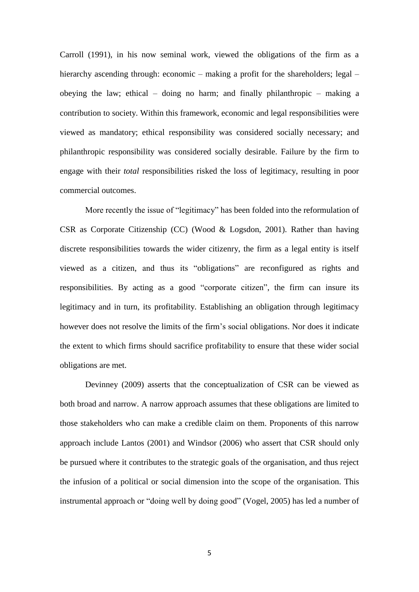Carroll (1991), in his now seminal work, viewed the obligations of the firm as a hierarchy ascending through: economic – making a profit for the shareholders; legal – obeying the law; ethical – doing no harm; and finally philanthropic – making a contribution to society. Within this framework, economic and legal responsibilities were viewed as mandatory; ethical responsibility was considered socially necessary; and philanthropic responsibility was considered socially desirable. Failure by the firm to engage with their *total* responsibilities risked the loss of legitimacy, resulting in poor commercial outcomes.

More recently the issue of "legitimacy" has been folded into the reformulation of CSR as Corporate Citizenship (CC) (Wood & Logsdon, 2001). Rather than having discrete responsibilities towards the wider citizenry, the firm as a legal entity is itself viewed as a citizen, and thus its "obligations" are reconfigured as rights and responsibilities. By acting as a good "corporate citizen", the firm can insure its legitimacy and in turn, its profitability. Establishing an obligation through legitimacy however does not resolve the limits of the firm's social obligations. Nor does it indicate the extent to which firms should sacrifice profitability to ensure that these wider social obligations are met.

Devinney (2009) asserts that the conceptualization of CSR can be viewed as both broad and narrow. A narrow approach assumes that these obligations are limited to those stakeholders who can make a credible claim on them. Proponents of this narrow approach include Lantos (2001) and Windsor (2006) who assert that CSR should only be pursued where it contributes to the strategic goals of the organisation, and thus reject the infusion of a political or social dimension into the scope of the organisation. This instrumental approach or "doing well by doing good" (Vogel, 2005) has led a number of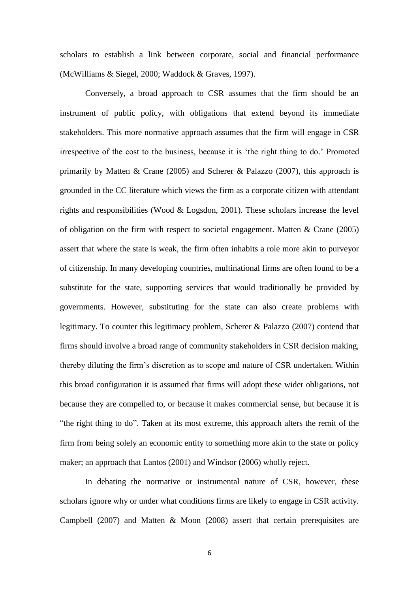scholars to establish a link between corporate, social and financial performance (McWilliams & Siegel, 2000; Waddock & Graves, 1997).

Conversely, a broad approach to CSR assumes that the firm should be an instrument of public policy, with obligations that extend beyond its immediate stakeholders. This more normative approach assumes that the firm will engage in CSR irrespective of the cost to the business, because it is 'the right thing to do.' Promoted primarily by Matten & Crane (2005) and Scherer & Palazzo (2007), this approach is grounded in the CC literature which views the firm as a corporate citizen with attendant rights and responsibilities (Wood & Logsdon, 2001). These scholars increase the level of obligation on the firm with respect to societal engagement. Matten & Crane (2005) assert that where the state is weak, the firm often inhabits a role more akin to purveyor of citizenship. In many developing countries, multinational firms are often found to be a substitute for the state, supporting services that would traditionally be provided by governments. However, substituting for the state can also create problems with legitimacy. To counter this legitimacy problem, Scherer & Palazzo (2007) contend that firms should involve a broad range of community stakeholders in CSR decision making, thereby diluting the firm's discretion as to scope and nature of CSR undertaken. Within this broad configuration it is assumed that firms will adopt these wider obligations, not because they are compelled to, or because it makes commercial sense, but because it is "the right thing to do". Taken at its most extreme, this approach alters the remit of the firm from being solely an economic entity to something more akin to the state or policy maker; an approach that Lantos (2001) and Windsor (2006) wholly reject.

In debating the normative or instrumental nature of CSR, however, these scholars ignore why or under what conditions firms are likely to engage in CSR activity. Campbell (2007) and Matten & Moon (2008) assert that certain prerequisites are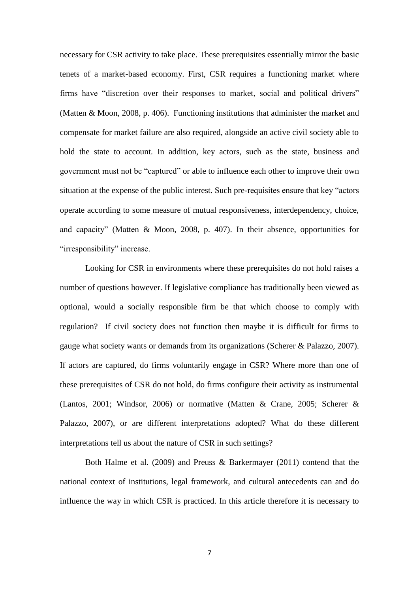necessary for CSR activity to take place. These prerequisites essentially mirror the basic tenets of a market-based economy. First, CSR requires a functioning market where firms have "discretion over their responses to market, social and political drivers" (Matten & Moon, 2008, p. 406). Functioning institutions that administer the market and compensate for market failure are also required, alongside an active civil society able to hold the state to account. In addition, key actors, such as the state, business and government must not be "captured" or able to influence each other to improve their own situation at the expense of the public interest. Such pre-requisites ensure that key "actors operate according to some measure of mutual responsiveness, interdependency, choice, and capacity" (Matten & Moon, 2008, p. 407). In their absence, opportunities for "irresponsibility" increase.

Looking for CSR in environments where these prerequisites do not hold raises a number of questions however. If legislative compliance has traditionally been viewed as optional, would a socially responsible firm be that which choose to comply with regulation? If civil society does not function then maybe it is difficult for firms to gauge what society wants or demands from its organizations (Scherer & Palazzo, 2007). If actors are captured, do firms voluntarily engage in CSR? Where more than one of these prerequisites of CSR do not hold, do firms configure their activity as instrumental (Lantos, 2001; Windsor, 2006) or normative (Matten & Crane, 2005; Scherer & Palazzo, 2007), or are different interpretations adopted? What do these different interpretations tell us about the nature of CSR in such settings?

Both Halme et al. (2009) and Preuss & Barkermayer (2011) contend that the national context of institutions, legal framework, and cultural antecedents can and do influence the way in which CSR is practiced. In this article therefore it is necessary to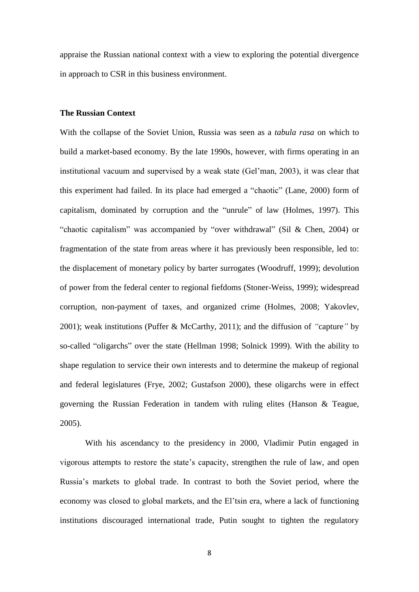appraise the Russian national context with a view to exploring the potential divergence in approach to CSR in this business environment.

#### **The Russian Context**

With the collapse of the Soviet Union, Russia was seen as a *tabula rasa* on which to build a market-based economy. By the late 1990s, however, with firms operating in an institutional vacuum and supervised by a weak state (Gel'man, 2003), it was clear that this experiment had failed. In its place had emerged a "chaotic" (Lane, 2000) form of capitalism, dominated by corruption and the "unrule" of law (Holmes, 1997). This "chaotic capitalism" was accompanied by "over withdrawal" (Sil & Chen, 2004) or fragmentation of the state from areas where it has previously been responsible, led to: the displacement of monetary policy by barter surrogates (Woodruff, 1999); devolution of power from the federal center to regional fiefdoms (Stoner-Weiss, 1999); widespread corruption, non-payment of taxes, and organized crime (Holmes, 2008; Yakovlev, 2001); weak institutions (Puffer & McCarthy, 2011); and the diffusion of *"*capture*"* by so-called "oligarchs" over the state (Hellman 1998; Solnick 1999). With the ability to shape regulation to service their own interests and to determine the makeup of regional and federal legislatures (Frye, 2002; Gustafson 2000), these oligarchs were in effect governing the Russian Federation in tandem with ruling elites (Hanson & Teague, 2005).

With his ascendancy to the presidency in 2000, Vladimir Putin engaged in vigorous attempts to restore the state's capacity, strengthen the rule of law, and open Russia's markets to global trade. In contrast to both the Soviet period, where the economy was closed to global markets, and the El'tsin era, where a lack of functioning institutions discouraged international trade, Putin sought to tighten the regulatory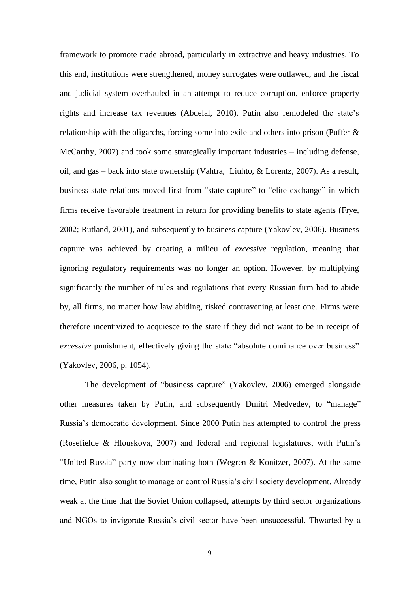framework to promote trade abroad, particularly in extractive and heavy industries. To this end, institutions were strengthened, money surrogates were outlawed, and the fiscal and judicial system overhauled in an attempt to reduce corruption, enforce property rights and increase tax revenues (Abdelal, 2010). Putin also remodeled the state's relationship with the oligarchs, forcing some into exile and others into prison (Puffer & McCarthy, 2007) and took some strategically important industries – including defense, oil, and gas – back into state ownership (Vahtra, Liuhto, & Lorentz, 2007). As a result, business-state relations moved first from "state capture" to "elite exchange" in which firms receive favorable treatment in return for providing benefits to state agents (Frye, 2002; Rutland, 2001), and subsequently to business capture (Yakovlev, 2006). Business capture was achieved by creating a milieu of *excessive* regulation, meaning that ignoring regulatory requirements was no longer an option. However, by multiplying significantly the number of rules and regulations that every Russian firm had to abide by, all firms, no matter how law abiding, risked contravening at least one. Firms were therefore incentivized to acquiesce to the state if they did not want to be in receipt of *excessive* punishment, effectively giving the state "absolute dominance over business" (Yakovlev, 2006, p. 1054).

The development of "business capture" (Yakovlev, 2006) emerged alongside other measures taken by Putin, and subsequently Dmitri Medvedev, to "manage" Russia's democratic development. Since 2000 Putin has attempted to control the press (Rosefielde & Hlouskova, 2007) and federal and regional legislatures, with Putin's "United Russia" party now dominating both (Wegren & Konitzer, 2007). At the same time, Putin also sought to manage or control Russia's civil society development. Already weak at the time that the Soviet Union collapsed, attempts by third sector organizations and NGOs to invigorate Russia's civil sector have been unsuccessful. Thwarted by a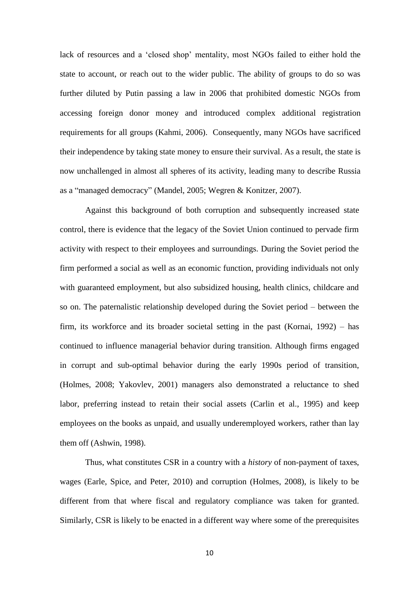lack of resources and a 'closed shop' mentality, most NGOs failed to either hold the state to account, or reach out to the wider public. The ability of groups to do so was further diluted by Putin passing a law in 2006 that prohibited domestic NGOs from accessing foreign donor money and introduced complex additional registration requirements for all groups (Kahmi, 2006). Consequently, many NGOs have sacrificed their independence by taking state money to ensure their survival. As a result, the state is now unchallenged in almost all spheres of its activity, leading many to describe Russia as a "managed democracy" (Mandel, 2005; Wegren & Konitzer, 2007).

Against this background of both corruption and subsequently increased state control, there is evidence that the legacy of the Soviet Union continued to pervade firm activity with respect to their employees and surroundings. During the Soviet period the firm performed a social as well as an economic function, providing individuals not only with guaranteed employment, but also subsidized housing, health clinics, childcare and so on. The paternalistic relationship developed during the Soviet period – between the firm, its workforce and its broader societal setting in the past (Kornai, 1992) – has continued to influence managerial behavior during transition. Although firms engaged in corrupt and sub-optimal behavior during the early 1990s period of transition, (Holmes, 2008; Yakovlev, 2001) managers also demonstrated a reluctance to shed labor, preferring instead to retain their social assets (Carlin et al., 1995) and keep employees on the books as unpaid, and usually underemployed workers, rather than lay them off (Ashwin, 1998).

Thus, what constitutes CSR in a country with a *history* of non-payment of taxes, wages (Earle, Spice, and Peter, 2010) and corruption (Holmes, 2008), is likely to be different from that where fiscal and regulatory compliance was taken for granted. Similarly, CSR is likely to be enacted in a different way where some of the prerequisites

10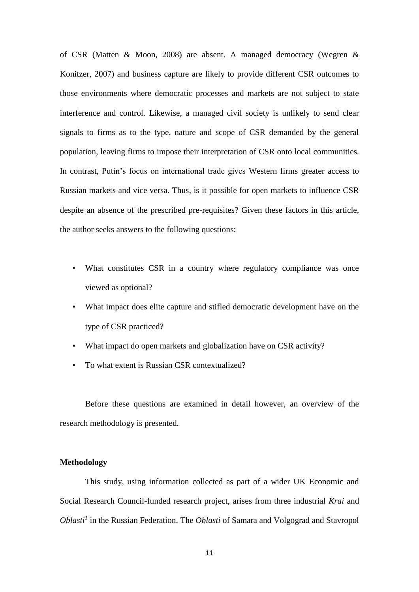of CSR (Matten & Moon, 2008) are absent. A managed democracy (Wegren & Konitzer, 2007) and business capture are likely to provide different CSR outcomes to those environments where democratic processes and markets are not subject to state interference and control. Likewise, a managed civil society is unlikely to send clear signals to firms as to the type, nature and scope of CSR demanded by the general population, leaving firms to impose their interpretation of CSR onto local communities. In contrast, Putin's focus on international trade gives Western firms greater access to Russian markets and vice versa. Thus, is it possible for open markets to influence CSR despite an absence of the prescribed pre-requisites? Given these factors in this article, the author seeks answers to the following questions:

- What constitutes CSR in a country where regulatory compliance was once viewed as optional?
- What impact does elite capture and stifled democratic development have on the type of CSR practiced?
- What impact do open markets and globalization have on CSR activity?
- To what extent is Russian CSR contextualized?

Before these questions are examined in detail however, an overview of the research methodology is presented.

#### **Methodology**

This study, using information collected as part of a wider UK Economic and Social Research Council-funded research project, arises from three industrial *Krai* and *Oblasti<sup>1</sup>* in the Russian Federation. The *Oblasti* of Samara and Volgograd and Stavropol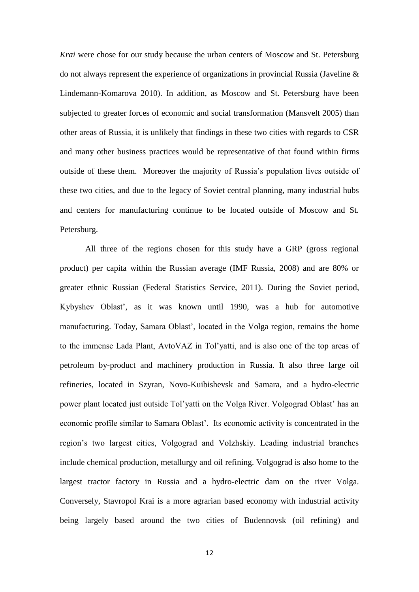*Krai* were chose for our study because the urban centers of Moscow and St. Petersburg do not always represent the experience of organizations in provincial Russia (Javeline & Lindemann-Komarova 2010). In addition, as Moscow and St. Petersburg have been subjected to greater forces of economic and social transformation (Mansvelt 2005) than other areas of Russia, it is unlikely that findings in these two cities with regards to CSR and many other business practices would be representative of that found within firms outside of these them. Moreover the majority of Russia's population lives outside of these two cities, and due to the legacy of Soviet central planning, many industrial hubs and centers for manufacturing continue to be located outside of Moscow and St. Petersburg.

All three of the regions chosen for this study have a GRP (gross regional product) per capita within the Russian average (IMF Russia, 2008) and are 80% or greater ethnic Russian (Federal Statistics Service, 2011). During the Soviet period, Kybyshev Oblast', as it was known until 1990, was a hub for automotive manufacturing. Today, Samara Oblast', located in the Volga region, remains the home to the immense Lada Plant, AvtoVAZ in Tol'yatti, and is also one of the top areas of petroleum by-product and machinery production in Russia. It also three large oil refineries, located in Szyran, Novo-Kuibishevsk and Samara, and a hydro-electric power plant located just outside Tol'yatti on the Volga River. Volgograd Oblast' has an economic profile similar to Samara Oblast'. Its economic activity is concentrated in the region's two largest cities, Volgograd and Volzhskiy. Leading industrial branches include chemical production, metallurgy and oil refining. Volgograd is also home to the largest tractor factory in Russia and a hydro-electric dam on the river Volga. Conversely, Stavropol Krai is a more agrarian based economy with industrial activity being largely based around the two cities of Budennovsk (oil refining) and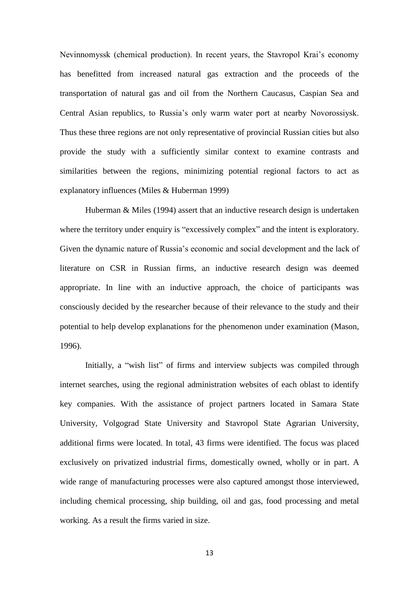Nevinnomyssk (chemical production). In recent years, the Stavropol Krai's economy has benefitted from increased natural gas extraction and the proceeds of the transportation of natural gas and oil from the Northern Caucasus, Caspian Sea and Central Asian republics, to Russia's only warm water port at nearby Novorossiysk. Thus these three regions are not only representative of provincial Russian cities but also provide the study with a sufficiently similar context to examine contrasts and similarities between the regions, minimizing potential regional factors to act as explanatory influences (Miles & Huberman 1999)

Huberman & Miles (1994) assert that an inductive research design is undertaken where the territory under enquiry is "excessively complex" and the intent is exploratory. Given the dynamic nature of Russia's economic and social development and the lack of literature on CSR in Russian firms, an inductive research design was deemed appropriate. In line with an inductive approach, the choice of participants was consciously decided by the researcher because of their relevance to the study and their potential to help develop explanations for the phenomenon under examination (Mason, 1996).

Initially, a "wish list" of firms and interview subjects was compiled through internet searches, using the regional administration websites of each oblast to identify key companies. With the assistance of project partners located in Samara State University, Volgograd State University and Stavropol State Agrarian University, additional firms were located. In total, 43 firms were identified. The focus was placed exclusively on privatized industrial firms, domestically owned, wholly or in part. A wide range of manufacturing processes were also captured amongst those interviewed, including chemical processing, ship building, oil and gas, food processing and metal working. As a result the firms varied in size.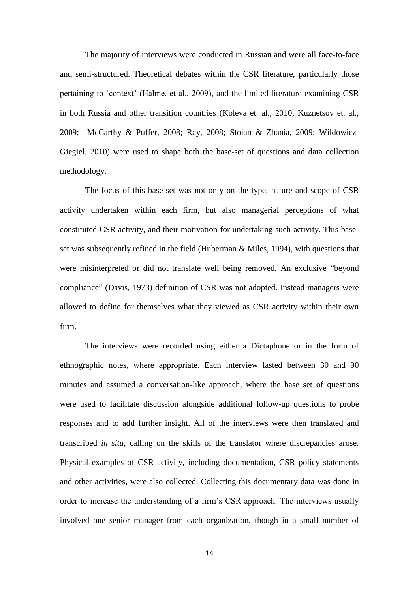The majority of interviews were conducted in Russian and were all face-to-face and semi-structured. Theoretical debates within the CSR literature, particularly those pertaining to 'context' (Halme, et al., 2009), and the limited literature examining CSR in both Russia and other transition countries (Koleva et. al., 2010; Kuznetsov et. al., 2009; McCarthy & Puffer, 2008; Ray, 2008; Stoian & Zhania, 2009; Wildowicz-Giegiel, 2010) were used to shape both the base-set of questions and data collection methodology.

The focus of this base-set was not only on the type, nature and scope of CSR activity undertaken within each firm, but also managerial perceptions of what constituted CSR activity, and their motivation for undertaking such activity. This baseset was subsequently refined in the field (Huberman & Miles, 1994), with questions that were misinterpreted or did not translate well being removed. An exclusive "beyond compliance" (Davis, 1973) definition of CSR was not adopted. Instead managers were allowed to define for themselves what they viewed as CSR activity within their own firm.

The interviews were recorded using either a Dictaphone or in the form of ethnographic notes, where appropriate. Each interview lasted between 30 and 90 minutes and assumed a conversation-like approach, where the base set of questions were used to facilitate discussion alongside additional follow-up questions to probe responses and to add further insight. All of the interviews were then translated and transcribed *in situ*, calling on the skills of the translator where discrepancies arose. Physical examples of CSR activity, including documentation, CSR policy statements and other activities, were also collected. Collecting this documentary data was done in order to increase the understanding of a firm's CSR approach. The interviews usually involved one senior manager from each organization, though in a small number of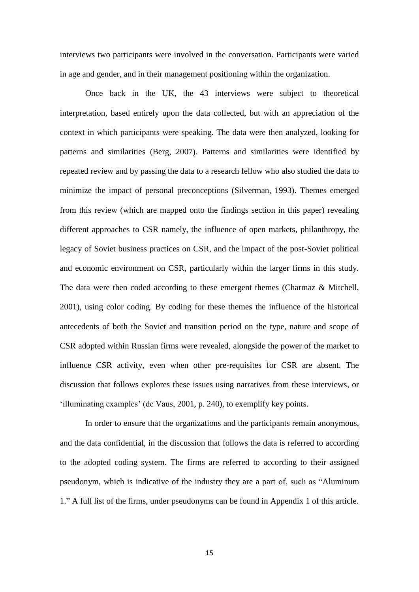interviews two participants were involved in the conversation. Participants were varied in age and gender, and in their management positioning within the organization.

Once back in the UK, the 43 interviews were subject to theoretical interpretation, based entirely upon the data collected, but with an appreciation of the context in which participants were speaking. The data were then analyzed, looking for patterns and similarities (Berg, 2007). Patterns and similarities were identified by repeated review and by passing the data to a research fellow who also studied the data to minimize the impact of personal preconceptions (Silverman, 1993). Themes emerged from this review (which are mapped onto the findings section in this paper) revealing different approaches to CSR namely, the influence of open markets, philanthropy, the legacy of Soviet business practices on CSR, and the impact of the post-Soviet political and economic environment on CSR, particularly within the larger firms in this study. The data were then coded according to these emergent themes (Charmaz & Mitchell, 2001), using color coding. By coding for these themes the influence of the historical antecedents of both the Soviet and transition period on the type, nature and scope of CSR adopted within Russian firms were revealed, alongside the power of the market to influence CSR activity, even when other pre-requisites for CSR are absent. The discussion that follows explores these issues using narratives from these interviews, or 'illuminating examples' (de Vaus, 2001, p. 240), to exemplify key points.

In order to ensure that the organizations and the participants remain anonymous, and the data confidential, in the discussion that follows the data is referred to according to the adopted coding system. The firms are referred to according to their assigned pseudonym, which is indicative of the industry they are a part of, such as "Aluminum 1." A full list of the firms, under pseudonyms can be found in Appendix 1 of this article.

15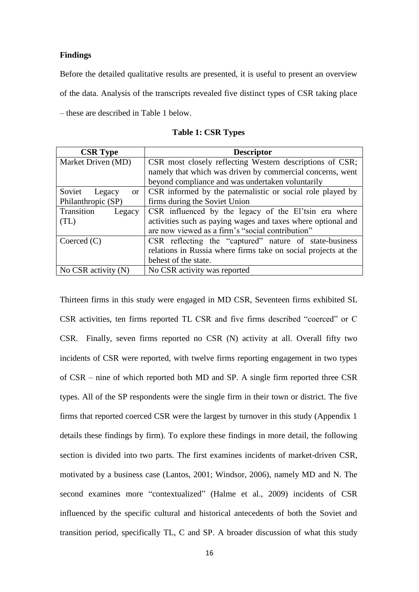#### **Findings**

Before the detailed qualitative results are presented, it is useful to present an overview of the data. Analysis of the transcripts revealed five distinct types of CSR taking place – these are described in Table 1 below.

| <b>CSR Type</b>              | <b>Descriptor</b>                                              |
|------------------------------|----------------------------------------------------------------|
| Market Driven (MD)           | CSR most closely reflecting Western descriptions of CSR;       |
|                              | namely that which was driven by commercial concerns, went      |
|                              | beyond compliance and was undertaken voluntarily               |
| Soviet<br>Legacy<br>$\alpha$ | CSR informed by the paternalistic or social role played by     |
| Philanthropic (SP)           | firms during the Soviet Union                                  |
| Transition<br>Legacy         | CSR influenced by the legacy of the El'tsin era where          |
| (TL)                         | activities such as paying wages and taxes where optional and   |
|                              | are now viewed as a firm's "social contribution"               |
| Coerced $(C)$                | CSR reflecting the "captured" nature of state-business         |
|                              | relations in Russia where firms take on social projects at the |
|                              | behest of the state.                                           |
| No CSR activity $(N)$        | No CSR activity was reported                                   |

**Table 1: CSR Types**

Thirteen firms in this study were engaged in MD CSR, Seventeen firms exhibited SL CSR activities, ten firms reported TL CSR and five firms described "coerced" or C CSR. Finally, seven firms reported no CSR (N) activity at all. Overall fifty two incidents of CSR were reported, with twelve firms reporting engagement in two types of CSR – nine of which reported both MD and SP. A single firm reported three CSR types. All of the SP respondents were the single firm in their town or district. The five firms that reported coerced CSR were the largest by turnover in this study (Appendix 1 details these findings by firm). To explore these findings in more detail, the following section is divided into two parts. The first examines incidents of market-driven CSR, motivated by a business case (Lantos, 2001; Windsor, 2006), namely MD and N. The second examines more "contextualized" (Halme et al., 2009) incidents of CSR influenced by the specific cultural and historical antecedents of both the Soviet and transition period, specifically TL, C and SP. A broader discussion of what this study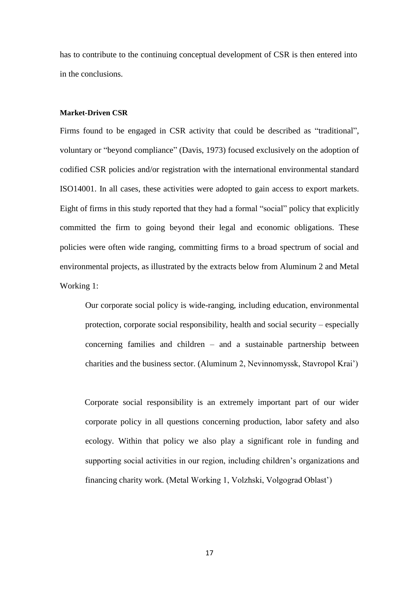has to contribute to the continuing conceptual development of CSR is then entered into in the conclusions.

#### **Market-Driven CSR**

Firms found to be engaged in CSR activity that could be described as "traditional", voluntary or "beyond compliance" (Davis, 1973) focused exclusively on the adoption of codified CSR policies and/or registration with the international environmental standard ISO14001. In all cases, these activities were adopted to gain access to export markets. Eight of firms in this study reported that they had a formal "social" policy that explicitly committed the firm to going beyond their legal and economic obligations. These policies were often wide ranging, committing firms to a broad spectrum of social and environmental projects, as illustrated by the extracts below from Aluminum 2 and Metal Working 1:

Our corporate social policy is wide-ranging, including education, environmental protection, corporate social responsibility, health and social security – especially concerning families and children – and a sustainable partnership between charities and the business sector. (Aluminum 2, Nevinnomyssk, Stavropol Krai')

Corporate social responsibility is an extremely important part of our wider corporate policy in all questions concerning production, labor safety and also ecology. Within that policy we also play a significant role in funding and supporting social activities in our region, including children's organizations and financing charity work. (Metal Working 1, Volzhski, Volgograd Oblast')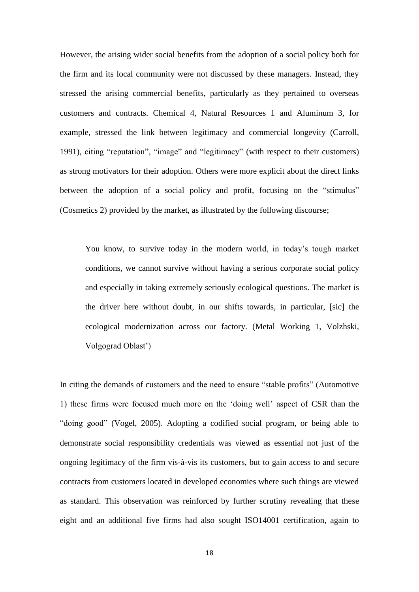However, the arising wider social benefits from the adoption of a social policy both for the firm and its local community were not discussed by these managers. Instead, they stressed the arising commercial benefits, particularly as they pertained to overseas customers and contracts. Chemical 4, Natural Resources 1 and Aluminum 3, for example, stressed the link between legitimacy and commercial longevity (Carroll, 1991), citing "reputation", "image" and "legitimacy" (with respect to their customers) as strong motivators for their adoption. Others were more explicit about the direct links between the adoption of a social policy and profit, focusing on the "stimulus" (Cosmetics 2) provided by the market, as illustrated by the following discourse;

You know, to survive today in the modern world, in today's tough market conditions, we cannot survive without having a serious corporate social policy and especially in taking extremely seriously ecological questions. The market is the driver here without doubt, in our shifts towards, in particular, [sic] the ecological modernization across our factory. (Metal Working 1, Volzhski, Volgograd Oblast')

In citing the demands of customers and the need to ensure "stable profits" (Automotive 1) these firms were focused much more on the 'doing well' aspect of CSR than the "doing good" (Vogel, 2005). Adopting a codified social program, or being able to demonstrate social responsibility credentials was viewed as essential not just of the ongoing legitimacy of the firm vis-à-vis its customers, but to gain access to and secure contracts from customers located in developed economies where such things are viewed as standard. This observation was reinforced by further scrutiny revealing that these eight and an additional five firms had also sought ISO14001 certification, again to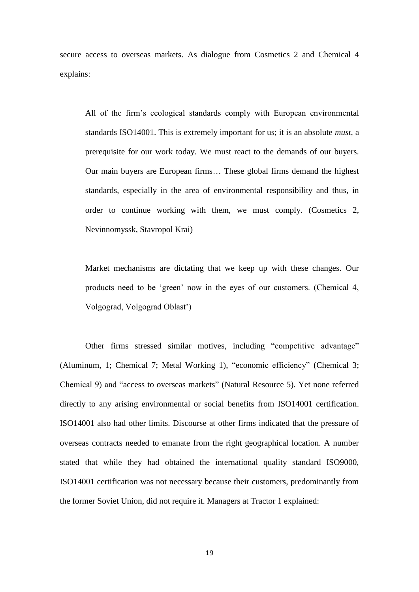secure access to overseas markets. As dialogue from Cosmetics 2 and Chemical 4 explains:

All of the firm's ecological standards comply with European environmental standards ISO14001. This is extremely important for us; it is an absolute *must*, a prerequisite for our work today. We must react to the demands of our buyers. Our main buyers are European firms… These global firms demand the highest standards, especially in the area of environmental responsibility and thus, in order to continue working with them, we must comply. (Cosmetics 2, Nevinnomyssk, Stavropol Krai)

Market mechanisms are dictating that we keep up with these changes. Our products need to be 'green' now in the eyes of our customers. (Chemical 4, Volgograd, Volgograd Oblast')

Other firms stressed similar motives, including "competitive advantage" (Aluminum, 1; Chemical 7; Metal Working 1), "economic efficiency" (Chemical 3; Chemical 9) and "access to overseas markets" (Natural Resource 5). Yet none referred directly to any arising environmental or social benefits from ISO14001 certification. ISO14001 also had other limits. Discourse at other firms indicated that the pressure of overseas contracts needed to emanate from the right geographical location. A number stated that while they had obtained the international quality standard ISO9000, ISO14001 certification was not necessary because their customers, predominantly from the former Soviet Union, did not require it. Managers at Tractor 1 explained: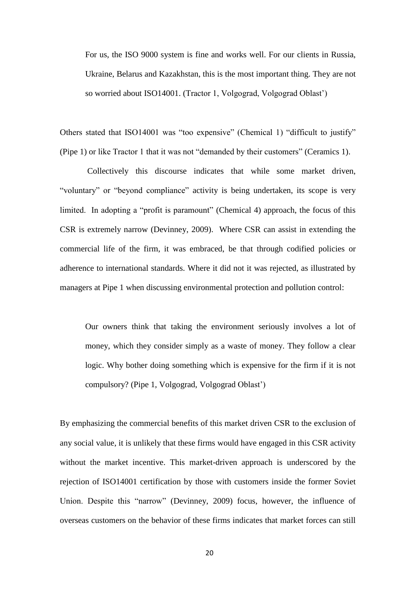For us, the ISO 9000 system is fine and works well. For our clients in Russia, Ukraine, Belarus and Kazakhstan, this is the most important thing. They are not so worried about ISO14001. (Tractor 1, Volgograd, Volgograd Oblast')

Others stated that ISO14001 was "too expensive" (Chemical 1) "difficult to justify" (Pipe 1) or like Tractor 1 that it was not "demanded by their customers" (Ceramics 1).

Collectively this discourse indicates that while some market driven, "voluntary" or "beyond compliance" activity is being undertaken, its scope is very limited. In adopting a "profit is paramount" (Chemical 4) approach, the focus of this CSR is extremely narrow (Devinney, 2009). Where CSR can assist in extending the commercial life of the firm, it was embraced, be that through codified policies or adherence to international standards. Where it did not it was rejected, as illustrated by managers at Pipe 1 when discussing environmental protection and pollution control:

Our owners think that taking the environment seriously involves a lot of money, which they consider simply as a waste of money. They follow a clear logic. Why bother doing something which is expensive for the firm if it is not compulsory? (Pipe 1, Volgograd, Volgograd Oblast')

By emphasizing the commercial benefits of this market driven CSR to the exclusion of any social value, it is unlikely that these firms would have engaged in this CSR activity without the market incentive. This market-driven approach is underscored by the rejection of ISO14001 certification by those with customers inside the former Soviet Union. Despite this "narrow" (Devinney, 2009) focus, however, the influence of overseas customers on the behavior of these firms indicates that market forces can still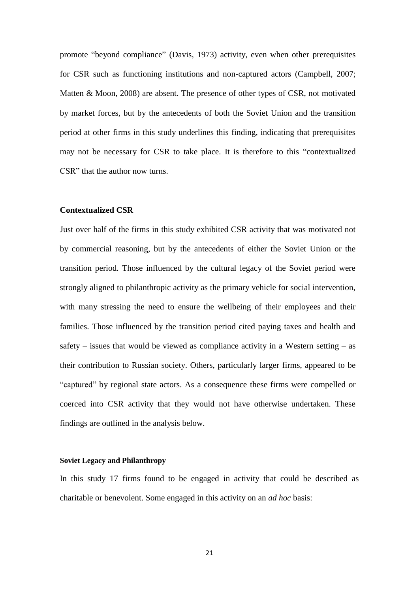promote "beyond compliance" (Davis, 1973) activity, even when other prerequisites for CSR such as functioning institutions and non-captured actors (Campbell, 2007; Matten & Moon, 2008) are absent. The presence of other types of CSR, not motivated by market forces, but by the antecedents of both the Soviet Union and the transition period at other firms in this study underlines this finding, indicating that prerequisites may not be necessary for CSR to take place. It is therefore to this "contextualized CSR" that the author now turns.

#### **Contextualized CSR**

Just over half of the firms in this study exhibited CSR activity that was motivated not by commercial reasoning, but by the antecedents of either the Soviet Union or the transition period. Those influenced by the cultural legacy of the Soviet period were strongly aligned to philanthropic activity as the primary vehicle for social intervention, with many stressing the need to ensure the wellbeing of their employees and their families. Those influenced by the transition period cited paying taxes and health and safety – issues that would be viewed as compliance activity in a Western setting – as their contribution to Russian society. Others, particularly larger firms, appeared to be "captured" by regional state actors. As a consequence these firms were compelled or coerced into CSR activity that they would not have otherwise undertaken. These findings are outlined in the analysis below.

#### **Soviet Legacy and Philanthropy**

In this study 17 firms found to be engaged in activity that could be described as charitable or benevolent. Some engaged in this activity on an *ad hoc* basis: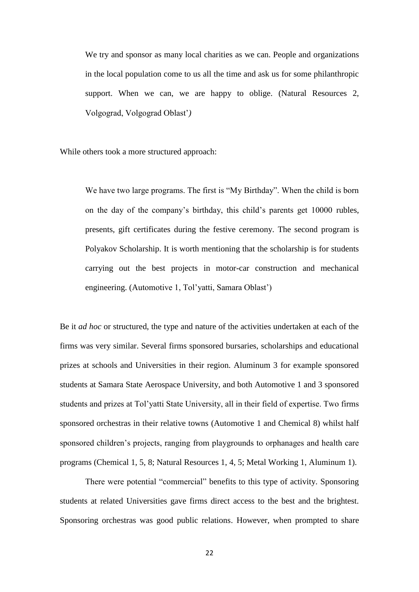We try and sponsor as many local charities as we can. People and organizations in the local population come to us all the time and ask us for some philanthropic support. When we can, we are happy to oblige. (Natural Resources 2, Volgograd, Volgograd Oblast'*)*

While others took a more structured approach:

We have two large programs. The first is "My Birthday". When the child is born on the day of the company's birthday, this child's parents get 10000 rubles, presents, gift certificates during the festive ceremony. The second program is Polyakov Scholarship. It is worth mentioning that the scholarship is for students carrying out the best projects in motor-car construction and mechanical engineering. (Automotive 1, Tol'yatti, Samara Oblast')

Be it *ad hoc* or structured, the type and nature of the activities undertaken at each of the firms was very similar. Several firms sponsored bursaries, scholarships and educational prizes at schools and Universities in their region. Aluminum 3 for example sponsored students at Samara State Aerospace University, and both Automotive 1 and 3 sponsored students and prizes at Tol'yatti State University, all in their field of expertise. Two firms sponsored orchestras in their relative towns (Automotive 1 and Chemical 8) whilst half sponsored children's projects, ranging from playgrounds to orphanages and health care programs (Chemical 1, 5, 8; Natural Resources 1, 4, 5; Metal Working 1, Aluminum 1).

There were potential "commercial" benefits to this type of activity. Sponsoring students at related Universities gave firms direct access to the best and the brightest. Sponsoring orchestras was good public relations. However, when prompted to share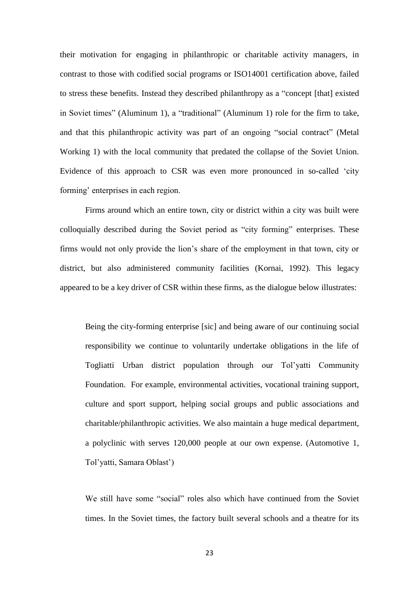their motivation for engaging in philanthropic or charitable activity managers, in contrast to those with codified social programs or ISO14001 certification above, failed to stress these benefits. Instead they described philanthropy as a "concept [that] existed in Soviet times" (Aluminum 1), a "traditional" (Aluminum 1) role for the firm to take, and that this philanthropic activity was part of an ongoing "social contract" (Metal Working 1) with the local community that predated the collapse of the Soviet Union. Evidence of this approach to CSR was even more pronounced in so-called 'city forming' enterprises in each region.

Firms around which an entire town, city or district within a city was built were colloquially described during the Soviet period as "city forming" enterprises. These firms would not only provide the lion's share of the employment in that town, city or district, but also administered community facilities (Kornai, 1992). This legacy appeared to be a key driver of CSR within these firms, as the dialogue below illustrates:

Being the city-forming enterprise [sic] and being aware of our continuing social responsibility we continue to voluntarily undertake obligations in the life of Togliatti Urban district population through our Tol'yatti Community Foundation. For example, environmental activities, vocational training support, culture and sport support, helping social groups and public associations and charitable/philanthropic activities. We also maintain a huge medical department, a polyclinic with serves 120,000 people at our own expense. (Automotive 1, Tol'yatti, Samara Oblast')

We still have some "social" roles also which have continued from the Soviet times. In the Soviet times, the factory built several schools and a theatre for its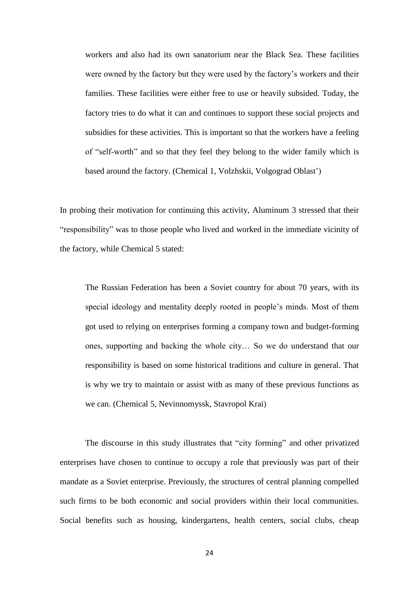workers and also had its own sanatorium near the Black Sea. These facilities were owned by the factory but they were used by the factory's workers and their families. These facilities were either free to use or heavily subsided. Today, the factory tries to do what it can and continues to support these social projects and subsidies for these activities. This is important so that the workers have a feeling of "self-worth" and so that they feel they belong to the wider family which is based around the factory. (Chemical 1, Volzhskii, Volgograd Oblast')

In probing their motivation for continuing this activity, Aluminum 3 stressed that their "responsibility" was to those people who lived and worked in the immediate vicinity of the factory, while Chemical 5 stated:

The Russian Federation has been a Soviet country for about 70 years, with its special ideology and mentality deeply rooted in people's minds. Most of them got used to relying on enterprises forming a company town and budget-forming ones, supporting and backing the whole city… So we do understand that our responsibility is based on some historical traditions and culture in general. That is why we try to maintain or assist with as many of these previous functions as we can. (Chemical 5, Nevinnomyssk, Stavropol Krai)

The discourse in this study illustrates that "city forming" and other privatized enterprises have chosen to continue to occupy a role that previously was part of their mandate as a Soviet enterprise. Previously, the structures of central planning compelled such firms to be both economic and social providers within their local communities. Social benefits such as housing, kindergartens, health centers, social clubs, cheap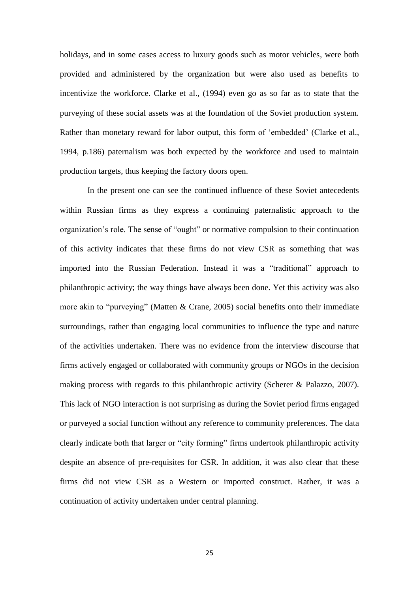holidays, and in some cases access to luxury goods such as motor vehicles, were both provided and administered by the organization but were also used as benefits to incentivize the workforce. Clarke et al., (1994) even go as so far as to state that the purveying of these social assets was at the foundation of the Soviet production system. Rather than monetary reward for labor output, this form of 'embedded' (Clarke et al., 1994, p.186) paternalism was both expected by the workforce and used to maintain production targets, thus keeping the factory doors open.

In the present one can see the continued influence of these Soviet antecedents within Russian firms as they express a continuing paternalistic approach to the organization's role. The sense of "ought" or normative compulsion to their continuation of this activity indicates that these firms do not view CSR as something that was imported into the Russian Federation. Instead it was a "traditional" approach to philanthropic activity; the way things have always been done. Yet this activity was also more akin to "purveying" (Matten & Crane, 2005) social benefits onto their immediate surroundings, rather than engaging local communities to influence the type and nature of the activities undertaken. There was no evidence from the interview discourse that firms actively engaged or collaborated with community groups or NGOs in the decision making process with regards to this philanthropic activity (Scherer & Palazzo, 2007). This lack of NGO interaction is not surprising as during the Soviet period firms engaged or purveyed a social function without any reference to community preferences. The data clearly indicate both that larger or "city forming" firms undertook philanthropic activity despite an absence of pre-requisites for CSR. In addition, it was also clear that these firms did not view CSR as a Western or imported construct. Rather, it was a continuation of activity undertaken under central planning.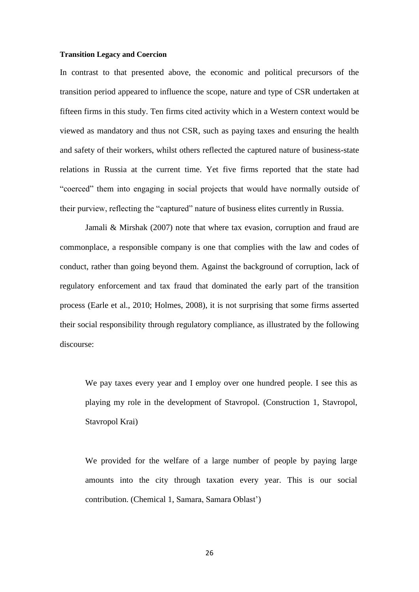#### **Transition Legacy and Coercion**

In contrast to that presented above, the economic and political precursors of the transition period appeared to influence the scope, nature and type of CSR undertaken at fifteen firms in this study. Ten firms cited activity which in a Western context would be viewed as mandatory and thus not CSR, such as paying taxes and ensuring the health and safety of their workers, whilst others reflected the captured nature of business-state relations in Russia at the current time. Yet five firms reported that the state had "coerced" them into engaging in social projects that would have normally outside of their purview, reflecting the "captured" nature of business elites currently in Russia.

Jamali & Mirshak (2007) note that where tax evasion, corruption and fraud are commonplace, a responsible company is one that complies with the law and codes of conduct, rather than going beyond them. Against the background of corruption, lack of regulatory enforcement and tax fraud that dominated the early part of the transition process (Earle et al., 2010; Holmes, 2008), it is not surprising that some firms asserted their social responsibility through regulatory compliance, as illustrated by the following discourse:

We pay taxes every year and I employ over one hundred people. I see this as playing my role in the development of Stavropol. (Construction 1, Stavropol, Stavropol Krai)

We provided for the welfare of a large number of people by paying large amounts into the city through taxation every year. This is our social contribution. (Chemical 1, Samara, Samara Oblast')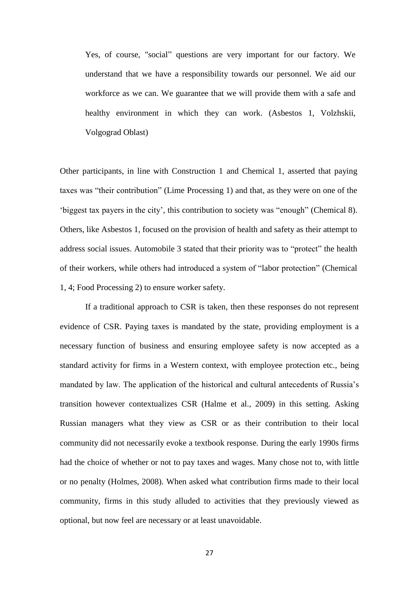Yes, of course, "social" questions are very important for our factory. We understand that we have a responsibility towards our personnel. We aid our workforce as we can. We guarantee that we will provide them with a safe and healthy environment in which they can work. (Asbestos 1, Volzhskii, Volgograd Oblast)

Other participants, in line with Construction 1 and Chemical 1, asserted that paying taxes was "their contribution" (Lime Processing 1) and that, as they were on one of the 'biggest tax payers in the city', this contribution to society was "enough" (Chemical 8). Others, like Asbestos 1, focused on the provision of health and safety as their attempt to address social issues. Automobile 3 stated that their priority was to "protect" the health of their workers, while others had introduced a system of "labor protection" (Chemical 1, 4; Food Processing 2) to ensure worker safety.

If a traditional approach to CSR is taken, then these responses do not represent evidence of CSR. Paying taxes is mandated by the state, providing employment is a necessary function of business and ensuring employee safety is now accepted as a standard activity for firms in a Western context, with employee protection etc., being mandated by law. The application of the historical and cultural antecedents of Russia's transition however contextualizes CSR (Halme et al., 2009) in this setting. Asking Russian managers what they view as CSR or as their contribution to their local community did not necessarily evoke a textbook response. During the early 1990s firms had the choice of whether or not to pay taxes and wages. Many chose not to, with little or no penalty (Holmes, 2008). When asked what contribution firms made to their local community, firms in this study alluded to activities that they previously viewed as optional, but now feel are necessary or at least unavoidable.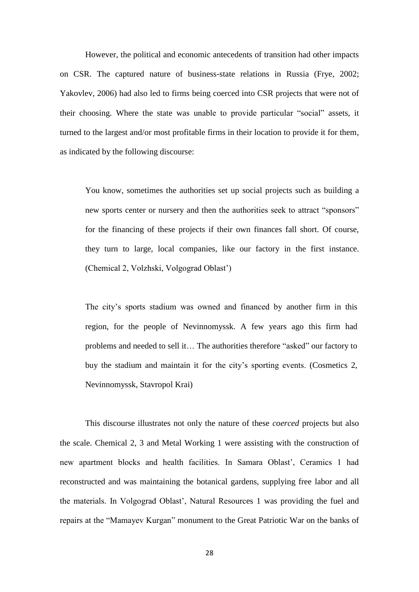However, the political and economic antecedents of transition had other impacts on CSR. The captured nature of business-state relations in Russia (Frye, 2002; Yakovlev, 2006) had also led to firms being coerced into CSR projects that were not of their choosing. Where the state was unable to provide particular "social" assets, it turned to the largest and/or most profitable firms in their location to provide it for them, as indicated by the following discourse:

You know, sometimes the authorities set up social projects such as building a new sports center or nursery and then the authorities seek to attract "sponsors" for the financing of these projects if their own finances fall short. Of course, they turn to large, local companies, like our factory in the first instance. (Chemical 2, Volzhski, Volgograd Oblast')

The city's sports stadium was owned and financed by another firm in this region, for the people of Nevinnomyssk. A few years ago this firm had problems and needed to sell it… The authorities therefore "asked" our factory to buy the stadium and maintain it for the city's sporting events. (Cosmetics 2, Nevinnomyssk, Stavropol Krai)

This discourse illustrates not only the nature of these *coerced* projects but also the scale. Chemical 2, 3 and Metal Working 1 were assisting with the construction of new apartment blocks and health facilities. In Samara Oblast', Ceramics 1 had reconstructed and was maintaining the botanical gardens, supplying free labor and all the materials. In Volgograd Oblast', Natural Resources 1 was providing the fuel and repairs at the "Mamayev Kurgan" monument to the Great Patriotic War on the banks of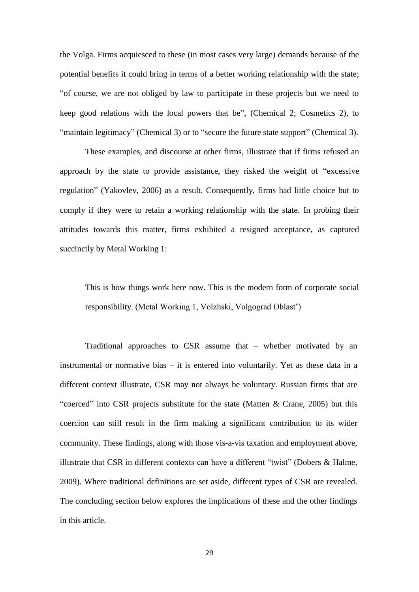the Volga. Firms acquiesced to these (in most cases very large) demands because of the potential benefits it could bring in terms of a better working relationship with the state; "of course, we are not obliged by law to participate in these projects but we need to keep good relations with the local powers that be", (Chemical 2; Cosmetics 2), to "maintain legitimacy" (Chemical 3) or to "secure the future state support" (Chemical 3).

These examples, and discourse at other firms, illustrate that if firms refused an approach by the state to provide assistance, they risked the weight of "excessive regulation" (Yakovlev, 2006) as a result. Consequently, firms had little choice but to comply if they were to retain a working relationship with the state. In probing their attitudes towards this matter, firms exhibited a resigned acceptance, as captured succinctly by Metal Working 1:

This is how things work here now. This is the modern form of corporate social responsibility. (Metal Working 1, Volzhski, Volgograd Oblast')

Traditional approaches to CSR assume that – whether motivated by an instrumental or normative bias – it is entered into voluntarily. Yet as these data in a different context illustrate, CSR may not always be voluntary. Russian firms that are "coerced" into CSR projects substitute for the state (Matten & Crane, 2005) but this coercion can still result in the firm making a significant contribution to its wider community. These findings, along with those vis-a-vis taxation and employment above, illustrate that CSR in different contexts can have a different "twist" (Dobers & Halme, 2009). Where traditional definitions are set aside, different types of CSR are revealed. The concluding section below explores the implications of these and the other findings in this article.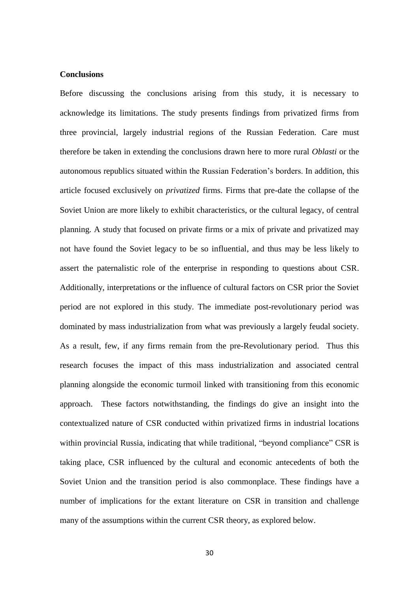#### **Conclusions**

Before discussing the conclusions arising from this study, it is necessary to acknowledge its limitations. The study presents findings from privatized firms from three provincial, largely industrial regions of the Russian Federation. Care must therefore be taken in extending the conclusions drawn here to more rural *Oblasti* or the autonomous republics situated within the Russian Federation's borders. In addition, this article focused exclusively on *privatized* firms. Firms that pre-date the collapse of the Soviet Union are more likely to exhibit characteristics, or the cultural legacy, of central planning. A study that focused on private firms or a mix of private and privatized may not have found the Soviet legacy to be so influential, and thus may be less likely to assert the paternalistic role of the enterprise in responding to questions about CSR. Additionally, interpretations or the influence of cultural factors on CSR prior the Soviet period are not explored in this study. The immediate post-revolutionary period was dominated by mass industrialization from what was previously a largely feudal society. As a result, few, if any firms remain from the pre-Revolutionary period. Thus this research focuses the impact of this mass industrialization and associated central planning alongside the economic turmoil linked with transitioning from this economic approach. These factors notwithstanding, the findings do give an insight into the contextualized nature of CSR conducted within privatized firms in industrial locations within provincial Russia, indicating that while traditional, "beyond compliance" CSR is taking place, CSR influenced by the cultural and economic antecedents of both the Soviet Union and the transition period is also commonplace. These findings have a number of implications for the extant literature on CSR in transition and challenge many of the assumptions within the current CSR theory, as explored below.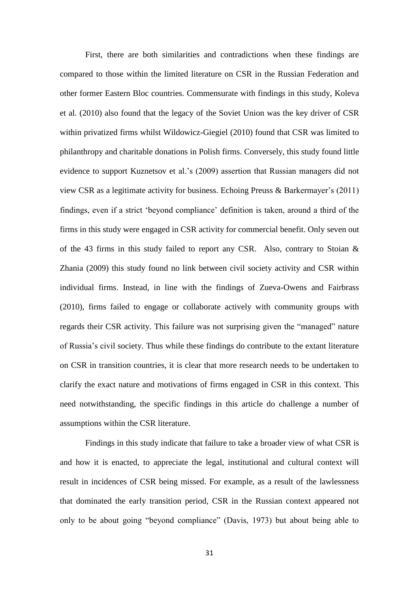First, there are both similarities and contradictions when these findings are compared to those within the limited literature on CSR in the Russian Federation and other former Eastern Bloc countries. Commensurate with findings in this study, Koleva et al. (2010) also found that the legacy of the Soviet Union was the key driver of CSR within privatized firms whilst Wildowicz-Giegiel (2010) found that CSR was limited to philanthropy and charitable donations in Polish firms. Conversely, this study found little evidence to support Kuznetsov et al.'s (2009) assertion that Russian managers did not view CSR as a legitimate activity for business. Echoing Preuss & Barkermayer's (2011) findings, even if a strict 'beyond compliance' definition is taken, around a third of the firms in this study were engaged in CSR activity for commercial benefit. Only seven out of the 43 firms in this study failed to report any CSR. Also, contrary to Stoian & Zhania (2009) this study found no link between civil society activity and CSR within individual firms. Instead, in line with the findings of Zueva-Owens and Fairbrass (2010), firms failed to engage or collaborate actively with community groups with regards their CSR activity. This failure was not surprising given the "managed" nature of Russia's civil society. Thus while these findings do contribute to the extant literature on CSR in transition countries, it is clear that more research needs to be undertaken to clarify the exact nature and motivations of firms engaged in CSR in this context. This need notwithstanding, the specific findings in this article do challenge a number of assumptions within the CSR literature.

Findings in this study indicate that failure to take a broader view of what CSR is and how it is enacted, to appreciate the legal, institutional and cultural context will result in incidences of CSR being missed. For example, as a result of the lawlessness that dominated the early transition period, CSR in the Russian context appeared not only to be about going "beyond compliance" (Davis, 1973) but about being able to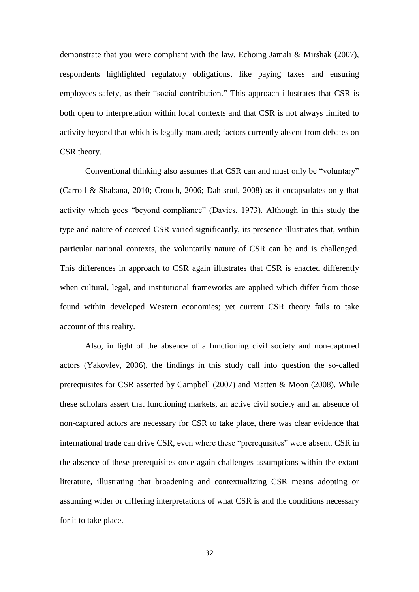demonstrate that you were compliant with the law. Echoing Jamali & Mirshak (2007), respondents highlighted regulatory obligations, like paying taxes and ensuring employees safety, as their "social contribution." This approach illustrates that CSR is both open to interpretation within local contexts and that CSR is not always limited to activity beyond that which is legally mandated; factors currently absent from debates on CSR theory.

Conventional thinking also assumes that CSR can and must only be "voluntary" (Carroll & Shabana, 2010; Crouch, 2006; Dahlsrud, 2008) as it encapsulates only that activity which goes "beyond compliance" (Davies, 1973). Although in this study the type and nature of coerced CSR varied significantly, its presence illustrates that, within particular national contexts, the voluntarily nature of CSR can be and is challenged. This differences in approach to CSR again illustrates that CSR is enacted differently when cultural, legal, and institutional frameworks are applied which differ from those found within developed Western economies; yet current CSR theory fails to take account of this reality.

Also, in light of the absence of a functioning civil society and non-captured actors (Yakovlev, 2006), the findings in this study call into question the so-called prerequisites for CSR asserted by Campbell (2007) and Matten & Moon (2008). While these scholars assert that functioning markets, an active civil society and an absence of non-captured actors are necessary for CSR to take place, there was clear evidence that international trade can drive CSR, even where these "prerequisites" were absent. CSR in the absence of these prerequisites once again challenges assumptions within the extant literature, illustrating that broadening and contextualizing CSR means adopting or assuming wider or differing interpretations of what CSR is and the conditions necessary for it to take place.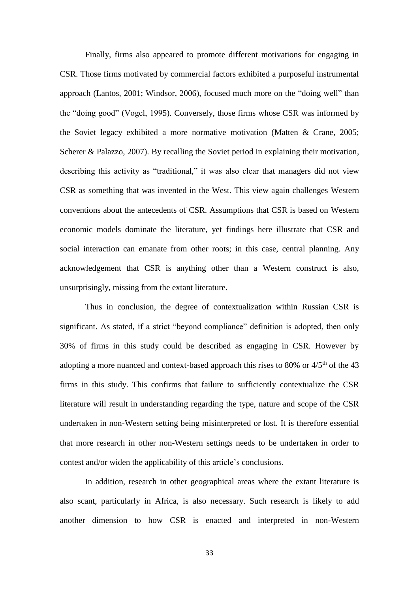Finally, firms also appeared to promote different motivations for engaging in CSR. Those firms motivated by commercial factors exhibited a purposeful instrumental approach (Lantos, 2001; Windsor, 2006), focused much more on the "doing well" than the "doing good" (Vogel, 1995). Conversely, those firms whose CSR was informed by the Soviet legacy exhibited a more normative motivation (Matten & Crane, 2005; Scherer & Palazzo, 2007). By recalling the Soviet period in explaining their motivation, describing this activity as "traditional," it was also clear that managers did not view CSR as something that was invented in the West. This view again challenges Western conventions about the antecedents of CSR. Assumptions that CSR is based on Western economic models dominate the literature, yet findings here illustrate that CSR and social interaction can emanate from other roots; in this case, central planning. Any acknowledgement that CSR is anything other than a Western construct is also, unsurprisingly, missing from the extant literature.

Thus in conclusion, the degree of contextualization within Russian CSR is significant. As stated, if a strict "beyond compliance" definition is adopted, then only 30% of firms in this study could be described as engaging in CSR. However by adopting a more nuanced and context-based approach this rises to 80% or  $4/5<sup>th</sup>$  of the 43 firms in this study. This confirms that failure to sufficiently contextualize the CSR literature will result in understanding regarding the type, nature and scope of the CSR undertaken in non-Western setting being misinterpreted or lost. It is therefore essential that more research in other non-Western settings needs to be undertaken in order to contest and/or widen the applicability of this article's conclusions.

In addition, research in other geographical areas where the extant literature is also scant, particularly in Africa, is also necessary. Such research is likely to add another dimension to how CSR is enacted and interpreted in non-Western

33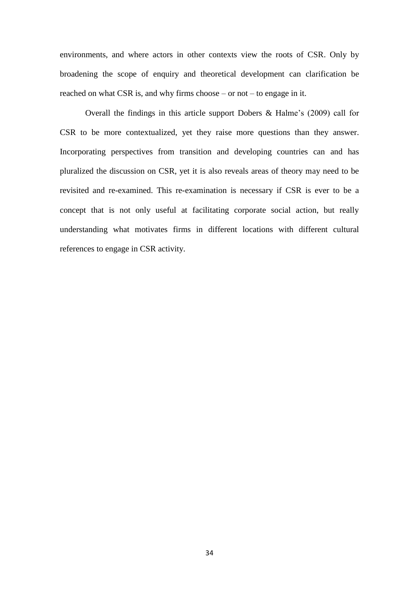environments, and where actors in other contexts view the roots of CSR. Only by broadening the scope of enquiry and theoretical development can clarification be reached on what CSR is, and why firms choose – or not – to engage in it.

Overall the findings in this article support Dobers & Halme's (2009) call for CSR to be more contextualized, yet they raise more questions than they answer. Incorporating perspectives from transition and developing countries can and has pluralized the discussion on CSR, yet it is also reveals areas of theory may need to be revisited and re-examined. This re-examination is necessary if CSR is ever to be a concept that is not only useful at facilitating corporate social action, but really understanding what motivates firms in different locations with different cultural references to engage in CSR activity.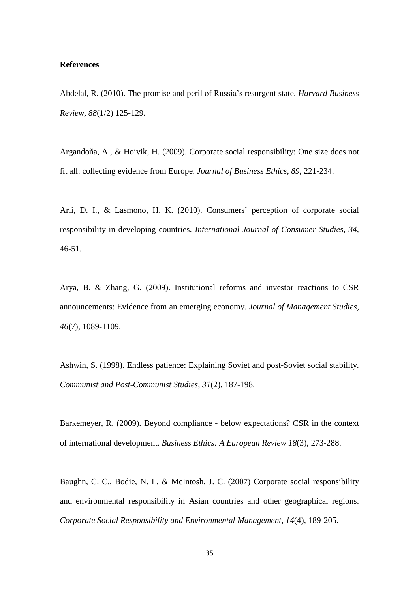#### **References**

Abdelal, R. (2010). The promise and peril of Russia's resurgent state. *Harvard Business Review, 88*(1/2) 125-129.

Argandoña, A., & Hoivik, H. (2009). Corporate social responsibility: One size does not fit all: collecting evidence from Europe. *Journal of Business Ethics, 89*, 221-234.

Arli, D. I., & Lasmono, H. K. (2010). Consumers' perception of corporate social responsibility in developing countries. *International Journal of Consumer Studies, 34*, 46-51.

Arya, B. & Zhang, G. (2009). Institutional reforms and investor reactions to CSR announcements: Evidence from an emerging economy. *Journal of Management Studies, 46*(7), 1089-1109.

Ashwin, S. (1998). Endless patience: Explaining Soviet and post-Soviet social stability. *Communist and Post-Communist Studies, 31*(2), 187-198.

Barkemeyer, R. (2009). Beyond compliance - below expectations? CSR in the context of international development. *Business Ethics: A European Review 18*(3), 273-288.

Baughn, C. C., Bodie, N. L. & McIntosh, J. C. (2007) Corporate social responsibility and environmental responsibility in Asian countries and other geographical regions. *Corporate Social Responsibility and Environmental Management*, *14*(4), 189-205.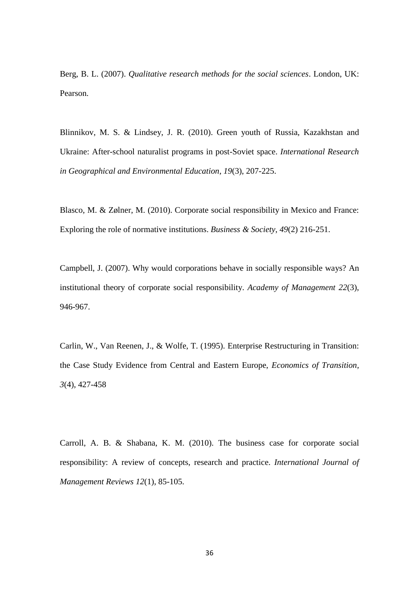Berg, B. L. (2007). *Qualitative research methods for the social sciences*. London, UK: Pearson.

Blinnikov, M. S. & Lindsey, J. R. (2010). Green youth of Russia, Kazakhstan and Ukraine: After-school naturalist programs in post-Soviet space. *International Research in Geographical and Environmental Education*, *19*(3), 207-225.

Blasco, M. & Zølner, M. (2010). Corporate social responsibility in Mexico and France: Exploring the role of normative institutions. *Business & Society*, *49*(2) 216-251.

Campbell, J. (2007). Why would corporations behave in socially responsible ways? An institutional theory of corporate social responsibility. *Academy of Management 22*(3), 946-967.

Carlin, W., Van Reenen, J., & Wolfe, T. (1995). Enterprise Restructuring in Transition: the Case Study Evidence from Central and Eastern Europe, *Economics of Transition, 3*(4), 427-458

Carroll, A. B. & Shabana, K. M. (2010). The business case for corporate social responsibility: A review of concepts, research and practice. *International Journal of Management Reviews 12*(1), 85-105.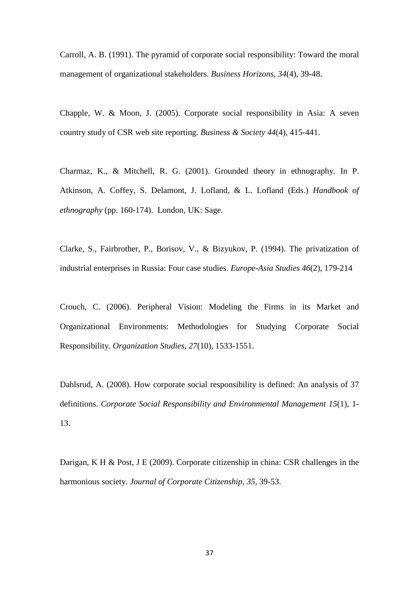Carroll, A. B. (1991). The pyramid of corporate social responsibility: Toward the moral management of organizational stakeholders. *Business Horizons*, *34*(4), 39-48.

Chapple, W. & Moon, J. (2005). Corporate social responsibility in Asia: A seven country study of CSR web site reporting. *Business & Society 44*(4), 415-441.

Charmaz, K., & Mitchell, R. G. (2001). Grounded theory in ethnography. In P. Atkinson, A. Coffey, S. Delamont, J. Lofland, & L. Lofland (Eds.) *Handbook of ethnography* (pp. 160-174). London, UK: Sage.

Clarke, S., Fairbrother, P., Borisov, V., & Bizyukov, P. (1994). The privatization of industrial enterprises in Russia: Four case studies. *Europe-Asia Studies 46*(2), 179-214

Crouch, C. (2006). Peripheral Vision: Modeling the Firms in its Market and Organizational Environments: Methodologies for Studying Corporate Social Responsibility. *Organization Studies*, *27*(10), 1533-1551.

Dahlsrud, A. (2008). How corporate social responsibility is defined: An analysis of 37 definitions. *Corporate Social Responsibility and Environmental Management 15*(1), 1- 13.

Darigan, K H & Post, J E (2009). Corporate citizenship in china: CSR challenges in the harmonious society. *Journal of Corporate Citizenship*, *35,* 39-53.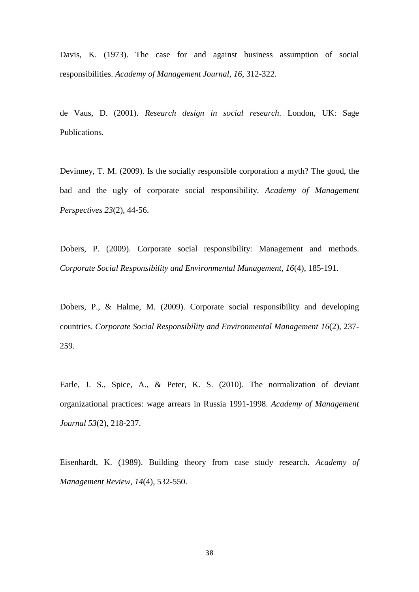Davis, K. (1973). The case for and against business assumption of social responsibilities. *Academy of Management Journal*, *16,* 312-322.

de Vaus, D. (2001). *Research design in social research*. London, UK: Sage Publications.

Devinney, T. M. (2009). Is the socially responsible corporation a myth? The good, the bad and the ugly of corporate social responsibility. *Academy of Management Perspectives 23*(2), 44-56.

Dobers, P. (2009). Corporate social responsibility: Management and methods. *Corporate Social Responsibility and Environmental Management, 16*(4), 185-191.

Dobers, P., & Halme, M. (2009). Corporate social responsibility and developing countries. *Corporate Social Responsibility and Environmental Management 16*(2), 237- 259.

Earle, J. S., Spice, A., & Peter, K. S. (2010). The normalization of deviant organizational practices: wage arrears in Russia 1991-1998. *Academy of Management Journal 53*(2), 218-237.

Eisenhardt, K. (1989). Building theory from case study research. *Academy of Management Review*, *14*(4), 532-550.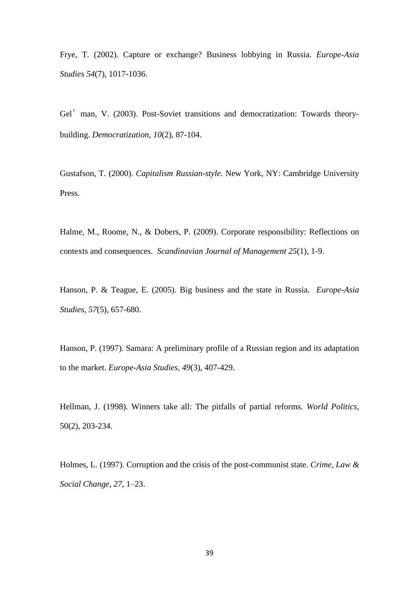Frye, T. (2002). Capture or exchange? Business lobbying in Russia. *Europe-Asia Studies 54*(7), 1017-1036.

Gel'man, V. (2003). Post-Soviet transitions and democratization: Towards theorybuilding. *Democratization*, *10*(2), 87-104.

Gustafson, T. (2000). *Capitalism Russian-style*. New York, NY: Cambridge University Press.

Halme, M., Roome, N., & Dobers, P. (2009). Corporate responsibility: Reflections on contexts and consequences. *Scandinavian Journal of Management 25*(1), 1-9.

Hanson, P. & Teague, E. (2005). Big business and the state in Russia. *Europe-Asia Studies*, *57*(5), 657-680.

Hanson, P. (1997). Samara: A preliminary profile of a Russian region and its adaptation to the market. *Europe-Asia Studies*, *49*(3), 407-429.

Hellman, J. (1998). Winners take all: The pitfalls of partial reforms. *World Politics*, 50(2), 203-234.

Holmes, L. (1997). Corruption and the crisis of the post-communist state. *Crime, Law & Social Change*, *27*, 1–23.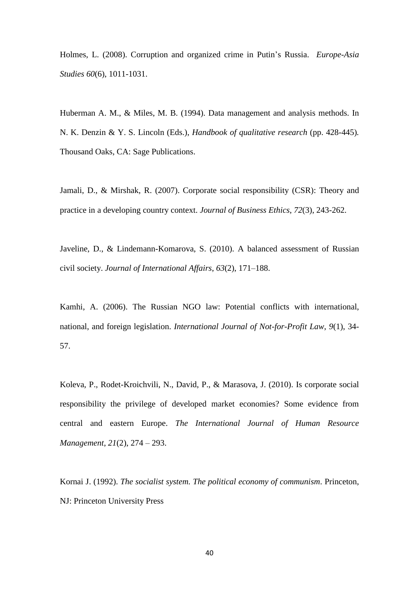Holmes, L. (2008). Corruption and organized crime in Putin's Russia. *Europe-Asia Studies 60*(6), 1011-1031.

Huberman A. M., & Miles, M. B. (1994). Data management and analysis methods. In N. K. Denzin & Y. S. Lincoln (Eds.), *Handbook of qualitative research* (pp. 428-445)*.* Thousand Oaks, CA: Sage Publications.

Jamali, D., & Mirshak, R. (2007). Corporate social responsibility (CSR): Theory and practice in a developing country context. *Journal of Business Ethics*, *72*(3), 243-262.

Javeline, D., & Lindemann-Komarova, S. (2010). A balanced assessment of Russian civil society. *Journal of International Affairs*, *63*(2), 171–188.

Kamhi, A. (2006). The Russian NGO law: Potential conflicts with international, national, and foreign legislation. *International Journal of Not-for-Profit Law*, *9*(1), 34- 57.

Koleva, P., Rodet-Kroichvili, N., David, P., & Marasova, J. (2010). Is corporate social responsibility the privilege of developed market economies? Some evidence from central and eastern Europe. *The International Journal of Human Resource Management*, *21*(2), 274 – 293.

Kornai J. (1992). *The socialist system. The political economy of communism*. Princeton, NJ: Princeton University Press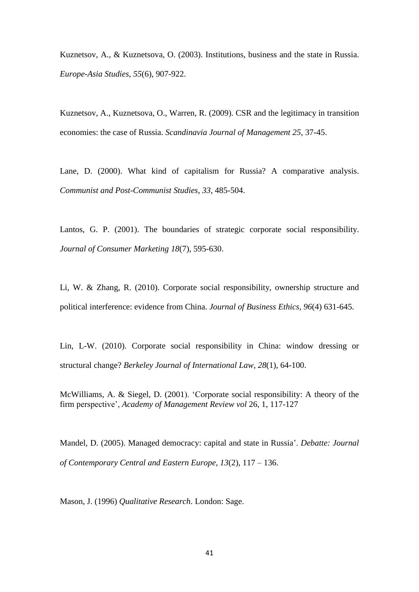Kuznetsov, A., & Kuznetsova, O. (2003). Institutions, business and the state in Russia. *Europe-Asia Studies*, *55*(6), 907-922.

Kuznetsov, A., Kuznetsova, O., Warren, R. (2009). CSR and the legitimacy in transition economies: the case of Russia. *Scandinavia Journal of Management 25*, 37-45.

Lane, D. (2000). What kind of capitalism for Russia? A comparative analysis. *Communist and Post-Communist Studies*, *33*, 485-504.

Lantos, G. P. (2001). The boundaries of strategic corporate social responsibility. *Journal of Consumer Marketing 18*(7), 595-630.

Li, W. & Zhang, R. (2010). Corporate social responsibility, ownership structure and political interference: evidence from China. *Journal of Business Ethics*, *96*(4) 631-645.

Lin, L-W. (2010). Corporate social responsibility in China: window dressing or structural change? *Berkeley Journal of International Law*, *28*(1), 64-100.

McWilliams, A. & Siegel, D. (2001). 'Corporate social responsibility: A theory of the firm perspective', *Academy of Management Review vol* 26, 1, 117-127

Mandel, D. (2005). Managed democracy: capital and state in Russia'. *Debatte: Journal of Contemporary Central and Eastern Europe*, *13*(2), 117 – 136.

Mason, J. (1996) *Qualitative Research*. London: Sage.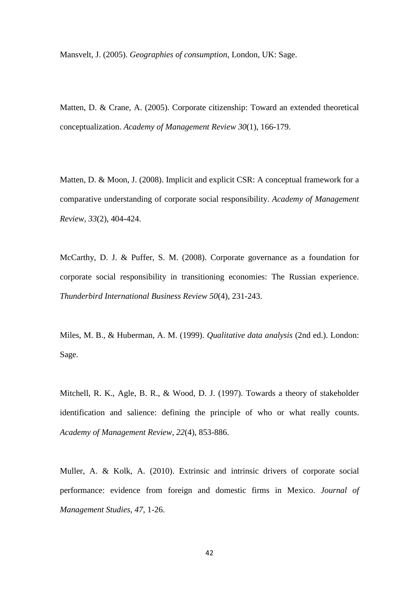Mansvelt, J. (2005). *Geographies of consumption*, London, UK: Sage.

Matten, D. & Crane, A. (2005). Corporate citizenship: Toward an extended theoretical conceptualization. *Academy of Management Review 30*(1), 166-179.

Matten, D. & Moon, J. (2008). Implicit and explicit CSR: A conceptual framework for a comparative understanding of corporate social responsibility. *Academy of Management Review*, *33*(2), 404-424.

McCarthy, D. J. & Puffer, S. M. (2008). Corporate governance as a foundation for corporate social responsibility in transitioning economies: The Russian experience. *Thunderbird International Business Review 50*(4), 231-243.

Miles, M. B., & Huberman, A. M. (1999). *Qualitative data analysis* (2nd ed.). London: Sage.

Mitchell, R. K., Agle, B. R., & Wood, D. J. (1997). Towards a theory of stakeholder identification and salience: defining the principle of who or what really counts. *Academy of Management Review*, *22*(4), 853-886.

Muller, A. & Kolk, A. (2010). Extrinsic and intrinsic drivers of corporate social performance: evidence from foreign and domestic firms in Mexico. *Journal of Management Studies*, *47*, 1-26.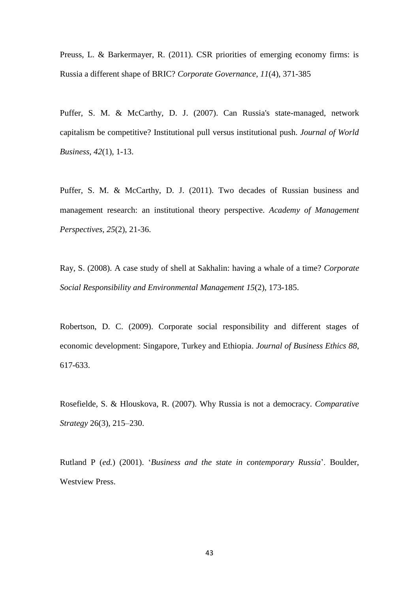Preuss, L. & Barkermayer, R. (2011). CSR priorities of emerging economy firms: is Russia a different shape of BRIC? *Corporate Governance, 11*(4), 371-385

Puffer, S. M. & McCarthy, D. J. (2007). Can Russia's state-managed, network capitalism be competitive? Institutional pull versus institutional push. *Journal of World Business*, *42*(1), 1-13.

Puffer, S. M. & McCarthy, D. J. (2011). Two decades of Russian business and management research: an institutional theory perspective. *Academy of Management Perspectives*, *25*(2), 21-36.

Ray, S. (2008). A case study of shell at Sakhalin: having a whale of a time? *Corporate Social Responsibility and Environmental Management 15*(2), 173-185.

Robertson, D. C. (2009). Corporate social responsibility and different stages of economic development: Singapore, Turkey and Ethiopia. *Journal of Business Ethics 88*, 617-633.

Rosefielde, S. & Hlouskova, R. (2007). Why Russia is not a democracy. *Comparative Strategy* 26(3), 215–230.

Rutland P (*ed.*) (2001). '*Business and the state in contemporary Russia*'. Boulder, Westview Press.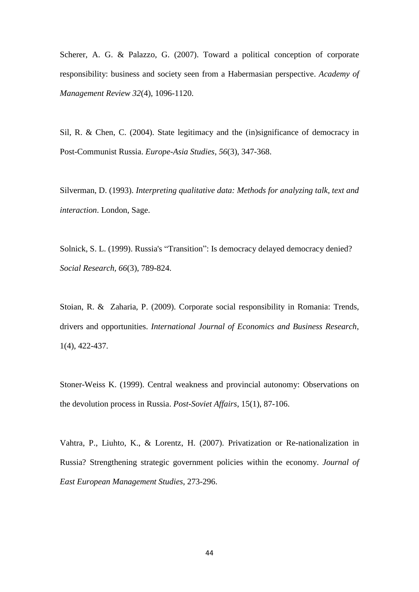Scherer, A. G. & Palazzo, G. (2007). Toward a political conception of corporate responsibility: business and society seen from a Habermasian perspective. *Academy of Management Review 32*(4), 1096-1120.

Sil, R. & Chen, C. (2004). State legitimacy and the (in)significance of democracy in Post-Communist Russia. *Europe-Asia Studies*, *56*(3), 347-368.

Silverman, D. (1993). *Interpreting qualitative data: Methods for analyzing talk, text and interaction*. London, Sage.

Solnick, S. L. (1999). Russia's "Transition": Is democracy delayed democracy denied? *Social Research, 66*(3), 789-824.

Stoian, R. & Zaharia, P. (2009). Corporate social responsibility in Romania: Trends, drivers and opportunities. *International Journal of Economics and Business Research*, 1(4), 422-437.

Stoner-Weiss K. (1999). Central weakness and provincial autonomy: Observations on the devolution process in Russia. *Post-Soviet Affairs*, 15(1), 87-106.

Vahtra, P., Liuhto, K., & Lorentz, H. (2007). Privatization or Re-nationalization in Russia? Strengthening strategic government policies within the economy. *Journal of East European Management Studies*, 273-296.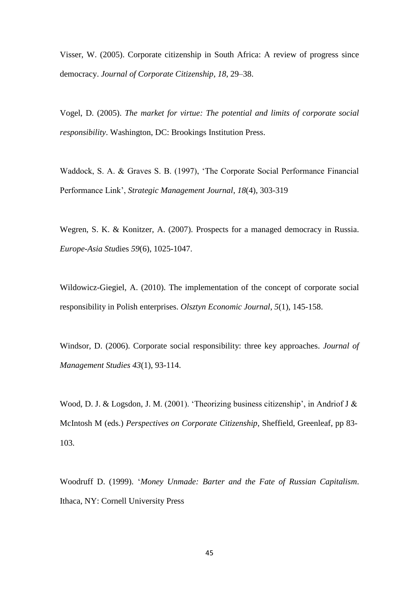Visser, W. (2005). Corporate citizenship in South Africa: A review of progress since democracy. *Journal of Corporate Citizenship*, *18*, 29–38.

Vogel, D. (2005). *The market for virtue: The potential and limits of corporate social responsibility*. Washington, DC: Brookings Institution Press.

Waddock, S. A. & Graves S. B. (1997), 'The Corporate Social Performance Financial Performance Link', *Strategic Management Journal*, *18*(4), 303-319

Wegren, S. K. & Konitzer, A. (2007). Prospects for a managed democracy in Russia. *Europe-Asia Stu*dies *59*(6), 1025-1047.

Wildowicz-Giegiel, A. (2010). The implementation of the concept of corporate social responsibility in Polish enterprises. *Olsztyn Economic Journal*, *5*(1), 145-158.

Windsor, D. (2006). Corporate social responsibility: three key approaches. *Journal of Management Studies 43*(1), 93-114.

Wood, D. J. & Logsdon, J. M. (2001). 'Theorizing business citizenship', in Andriof J & McIntosh M (eds.) *Perspectives on Corporate Citizenship*, Sheffield, Greenleaf, pp 83- 103.

Woodruff D. (1999). '*Money Unmade: Barter and the Fate of Russian Capitalism*. Ithaca, NY: Cornell University Press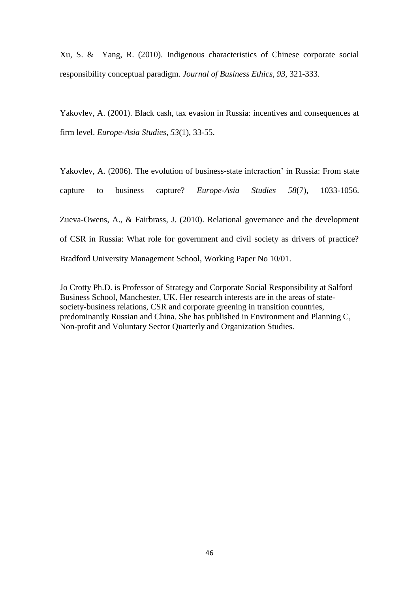Xu, S. & Yang, R. (2010). Indigenous characteristics of Chinese corporate social responsibility conceptual paradigm. *Journal of Business Ethics*, *93*, 321-333.

Yakovlev, A. (2001). Black cash, tax evasion in Russia: incentives and consequences at firm level. *Europe-Asia Studies*, *53*(1), 33-55.

Yakovlev, A. (2006). The evolution of business-state interaction' in Russia: From state capture to business capture? *Europe-Asia Studies 58*(7), 1033-1056. Zueva-Owens, A., & Fairbrass, J. (2010). Relational governance and the development of CSR in Russia: What role for government and civil society as drivers of practice?

Bradford University Management School, Working Paper No 10/01.

Jo Crotty Ph.D. is Professor of Strategy and Corporate Social Responsibility at Salford Business School, Manchester, UK. Her research interests are in the areas of statesociety-business relations, CSR and corporate greening in transition countries, predominantly Russian and China. She has published in Environment and Planning C, Non-profit and Voluntary Sector Quarterly and Organization Studies.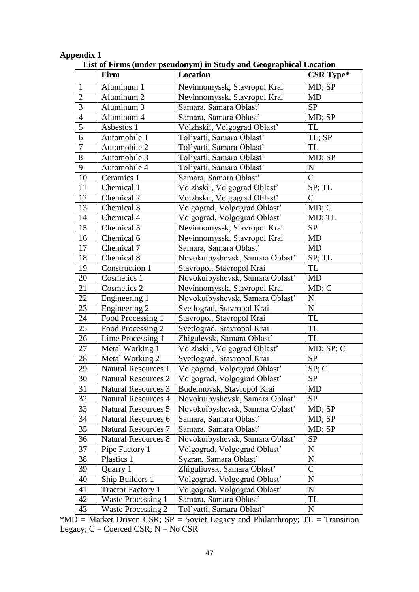### **Appendix 1**

|                | Firm                       | Location                        | CSR Type*    |
|----------------|----------------------------|---------------------------------|--------------|
| $\mathbf{1}$   | Aluminum 1                 | Nevinnomyssk, Stavropol Krai    | MD; SP       |
| $\overline{2}$ | Aluminum <sub>2</sub>      | Nevinnomyssk, Stavropol Krai    | <b>MD</b>    |
| 3              | Aluminum 3                 | Samara, Samara Oblast'          | <b>SP</b>    |
| $\overline{4}$ | Aluminum 4                 | Samara, Samara Oblast'          | MD; SP       |
| 5              | Asbestos 1                 | Volzhskii, Volgograd Oblast'    | <b>TL</b>    |
| 6              | Automobile 1               | Tol'yatti, Samara Oblast'       | TL; SP       |
| $\overline{7}$ | Automobile 2               | Tol'yatti, Samara Oblast'       | TL           |
| 8              | Automobile 3               | Tol'yatti, Samara Oblast'       | MD; SP       |
| 9              | Automobile 4               | Tol'yatti, Samara Oblast'       | ${\bf N}$    |
| 10             | Ceramics 1                 | Samara, Samara Oblast'          | $\mathsf{C}$ |
| 11             | Chemical 1                 | Volzhskii, Volgograd Oblast'    | SP; TL       |
| 12             | Chemical 2                 | Volzhskii, Volgograd Oblast'    | $\mathsf{C}$ |
| 13             | Chemical 3                 | Volgograd, Volgograd Oblast'    | MD; C        |
| 14             | Chemical 4                 | Volgograd, Volgograd Oblast'    | MD; TL       |
| 15             | Chemical 5                 | Nevinnomyssk, Stavropol Krai    | <b>SP</b>    |
| 16             | Chemical 6                 | Nevinnomyssk, Stavropol Krai    | MD           |
| 17             | Chemical 7                 | Samara, Samara Oblast'          | <b>MD</b>    |
| 18             | Chemical 8                 | Novokuibyshevsk, Samara Oblast' | SP; TL       |
| 19             | Construction 1             | Stavropol, Stavropol Krai       | <b>TL</b>    |
| 20             | Cosmetics 1                | Novokuibyshevsk, Samara Oblast' | MD           |
| 21             | Cosmetics 2                | Nevinnomyssk, Stavropol Krai    | MD; C        |
| 22             | Engineering 1              | Novokuibyshevsk, Samara Oblast' | ${\bf N}$    |
| 23             | Engineering 2              | Svetlograd, Stavropol Krai      | ${\bf N}$    |
| 24             | Food Processing 1          | Stavropol, Stavropol Krai       | TL           |
| 25             | Food Processing 2          | Svetlograd, Stavropol Krai      | <b>TL</b>    |
| 26             | Lime Processing 1          | Zhigulevsk, Samara Oblast'      | TL           |
| 27             | Metal Working 1            | Volzhskii, Volgograd Oblast'    | MD; SP; C    |
| 28             | Metal Working 2            | Svetlograd, Stavropol Krai      | <b>SP</b>    |
| 29             | <b>Natural Resources 1</b> | Volgograd, Volgograd Oblast'    | SP; C        |
| 30             | <b>Natural Resources 2</b> | Volgograd, Volgograd Oblast'    | <b>SP</b>    |
| 31             | <b>Natural Resources 3</b> | Budennovsk, Stavropol Krai      | MD           |
| 32             | <b>Natural Resources 4</b> | Novokuibyshevsk, Samara Oblast' | <b>SP</b>    |
| 33             | <b>Natural Resources 5</b> | Novokuibyshevsk, Samara Oblast' | MD; SP       |
| 34             | <b>Natural Resources 6</b> | Samara, Samara Oblast'          | MD; SP       |
| 35             | <b>Natural Resources 7</b> | Samara, Samara Oblast'          | MD; SP       |
| 36             | <b>Natural Resources 8</b> | Novokuibyshevsk, Samara Oblast' | <b>SP</b>    |
| 37             | Pipe Factory 1             | Volgograd, Volgograd Oblast'    | ${\bf N}$    |
| 38             | Plastics 1                 | Syzran, Samara Oblast'          | ${\bf N}$    |
| 39             | Quarry 1                   | Zhiguliovsk, Samara Oblast'     | $\mathsf{C}$ |
| 40             | Ship Builders 1            | Volgograd, Volgograd Oblast'    | $\mathbf N$  |
| 41             | <b>Tractor Factory 1</b>   | Volgograd, Volgograd Oblast'    | ${\bf N}$    |
| 42             | <b>Waste Processing 1</b>  | Samara, Samara Oblast'          | TL           |
| 43             | <b>Waste Processing 2</b>  | Tol'yatti, Samara Oblast'       | ${\bf N}$    |

**List of Firms (under pseudonym) in Study and Geographical Location**

\*MD = Market Driven CSR;  $SP =$  Soviet Legacy and Philanthropy;  $TL =$  Transition Legacy;  $C =$  Coerced CSR;  $N = No$  CSR